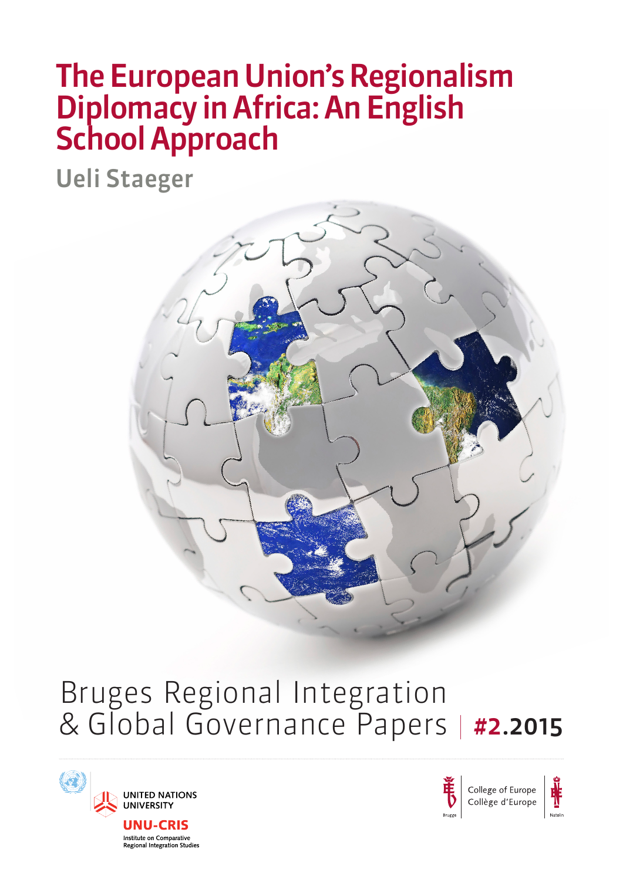# The European Union's Regionalism Diplomacy in Africa: An English School Approach

Ueli Staeger



# Bruges Regional Integration & Global Governance Papers | #2.2015





College of Europe Collège d'Europe

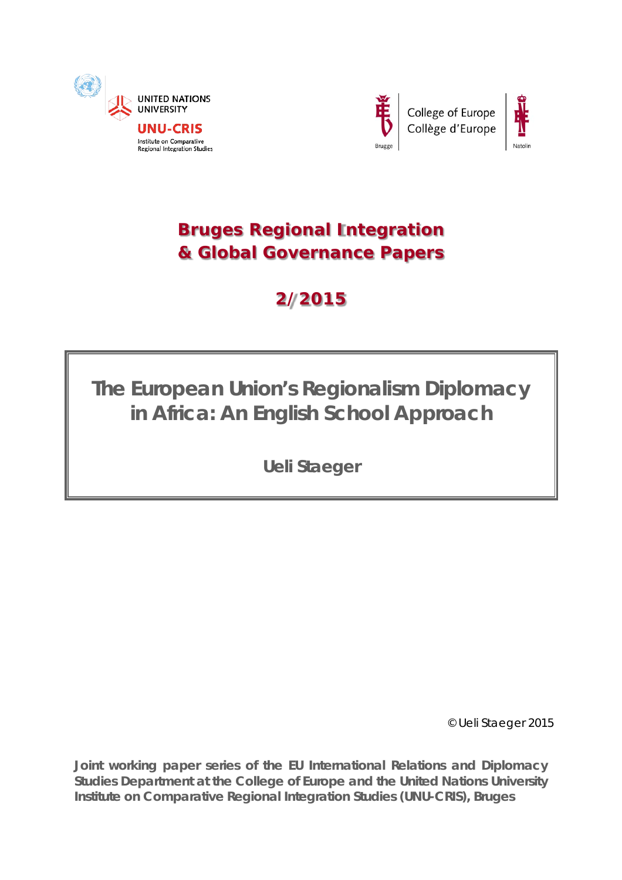





# **Bruges Regional Integration & Global Governance Papers**

# **2/2015**

# **The European Union's Regionalism Diplomacy in Africa: An English School Approach**

**Ueli Staeger**

© Ueli Staeger 2015

**Joint working paper series of the** *EU International Relations and Diplomacy Studies* **Department at the College of Europe and the** *United Nations University Institute on Comparative Regional Integration Studies* **(UNU-CRIS), Bruges**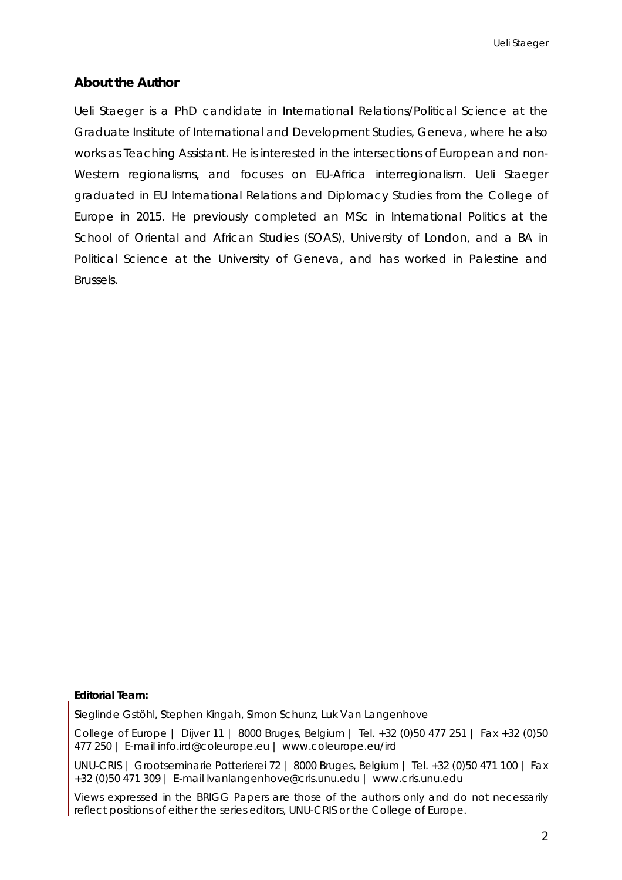# **About the Author**

Ueli Staeger is a PhD candidate in International Relations/Political Science at the Graduate Institute of International and Development Studies, Geneva, where he also works as Teaching Assistant. He is interested in the intersections of European and non-Western regionalisms, and focuses on EU-Africa interregionalism. Ueli Staeger graduated in EU International Relations and Diplomacy Studies from the College of Europe in 2015. He previously completed an MSc in International Politics at the School of Oriental and African Studies (SOAS), University of London, and a BA in Political Science at the University of Geneva, and has worked in Palestine and Brussels.

#### **Editorial Team:**

Sieglinde Gstöhl, Stephen Kingah, Simon Schunz, Luk Van Langenhove

College of Europe | Dijver 11 | 8000 Bruges, Belgium | Tel. +32 (0)50 477 251 | Fax +32 (0)50 477 250 | E-mail info.ird@coleurope.eu | www.coleurope.eu/ird

UNU-CRIS | Grootseminarie Potterierei 72 | 8000 Bruges, Belgium | Tel. +32 (0)50 471 100 | Fax +32 (0)50 471 309 | E-mail lvanlangenhove@cris.unu.edu | www.cris.unu.edu

Views expressed in the BRIGG Papers are those of the authors only and do not necessarily reflect positions of either the series editors, UNU-CRIS or the College of Europe.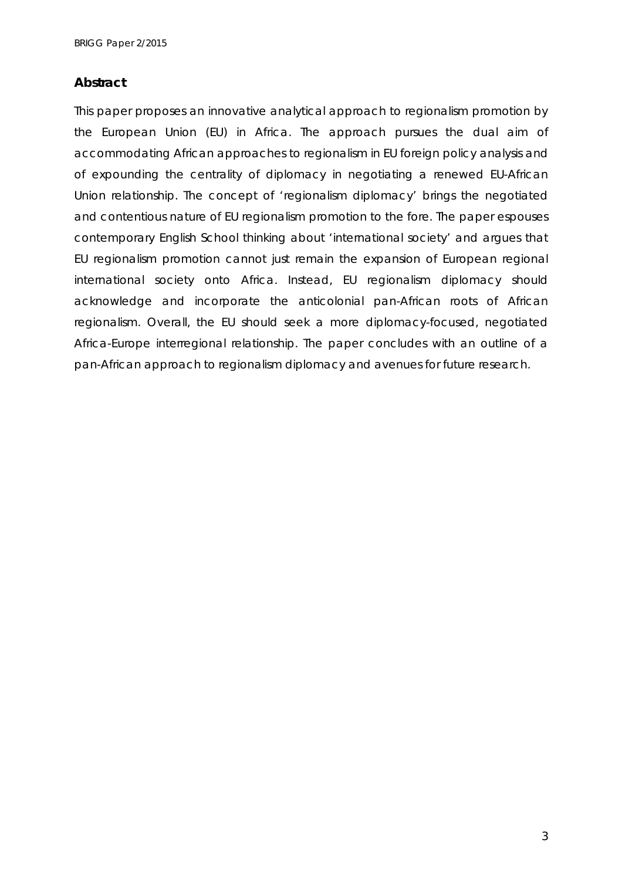# **Abstract**

This paper proposes an innovative analytical approach to regionalism promotion by the European Union (EU) in Africa. The approach pursues the dual aim of accommodating African approaches to regionalism in EU foreign policy analysis and of expounding the centrality of diplomacy in negotiating a renewed EU-African Union relationship. The concept of 'regionalism diplomacy' brings the negotiated and contentious nature of EU regionalism promotion to the fore. The paper espouses contemporary English School thinking about 'international society' and argues that EU regionalism promotion cannot just remain the expansion of European regional international society onto Africa. Instead, EU regionalism diplomacy should acknowledge and incorporate the anticolonial pan-African roots of African regionalism. Overall, the EU should seek a more diplomacy-focused, negotiated Africa-Europe interregional relationship. The paper concludes with an outline of a pan-African approach to regionalism diplomacy and avenues for future research.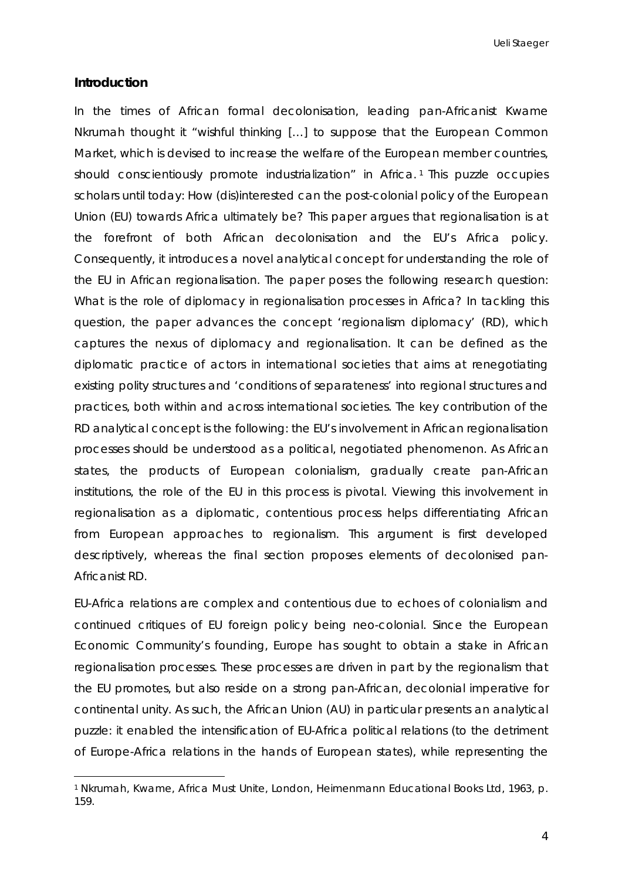#### **Introduction**

-

In the times of African formal decolonisation, leading pan-Africanist Kwame Nkrumah thought it "wishful thinking […] to suppose that the European Common Market, which is devised to increase the welfare of the European member countries, should conscientiously promote industrialization" in Africa.<sup>[1](#page-4-0)</sup> This puzzle occupies scholars until today: How (dis)interested can the post-colonial policy of the European Union (EU) towards Africa ultimately be? This paper argues that regionalisation is at the forefront of both African decolonisation and the EU's Africa policy. Consequently, it introduces a novel analytical concept for understanding the role of the EU in African regionalisation. The paper poses the following research question: What is the role of diplomacy in regionalisation processes in Africa? In tackling this question, the paper advances the concept 'regionalism diplomacy' (RD), which captures the nexus of diplomacy and regionalisation. It can be defined as the diplomatic practice of actors in international societies that aims at renegotiating existing polity structures and 'conditions of separateness' into regional structures and practices, both within and across international societies. The key contribution of the RD analytical concept is the following: the EU's involvement in African regionalisation processes should be understood as a political, negotiated phenomenon. As African states, the products of European colonialism, gradually create pan-African institutions, the role of the EU in this process is pivotal. Viewing this involvement in regionalisation as a diplomatic, contentious process helps differentiating African from European approaches to regionalism. This argument is first developed descriptively, whereas the final section proposes elements of decolonised pan-Africanist RD.

EU-Africa relations are complex and contentious due to echoes of colonialism and continued critiques of EU foreign policy being neo-colonial. Since the European Economic Community's founding, Europe has sought to obtain a stake in African regionalisation processes. These processes are driven in part by the regionalism that the EU promotes, but also reside on a strong pan-African, decolonial imperative for continental unity. As such, the African Union (AU) in particular presents an analytical puzzle: it enabled the intensification of EU-Africa political relations (to the detriment of Europe-Africa relations in the hands of European states), while representing the

<span id="page-4-0"></span><sup>1</sup> Nkrumah, Kwame, *Africa Must Unite*, London, Heimenmann Educational Books Ltd, 1963, p. 159.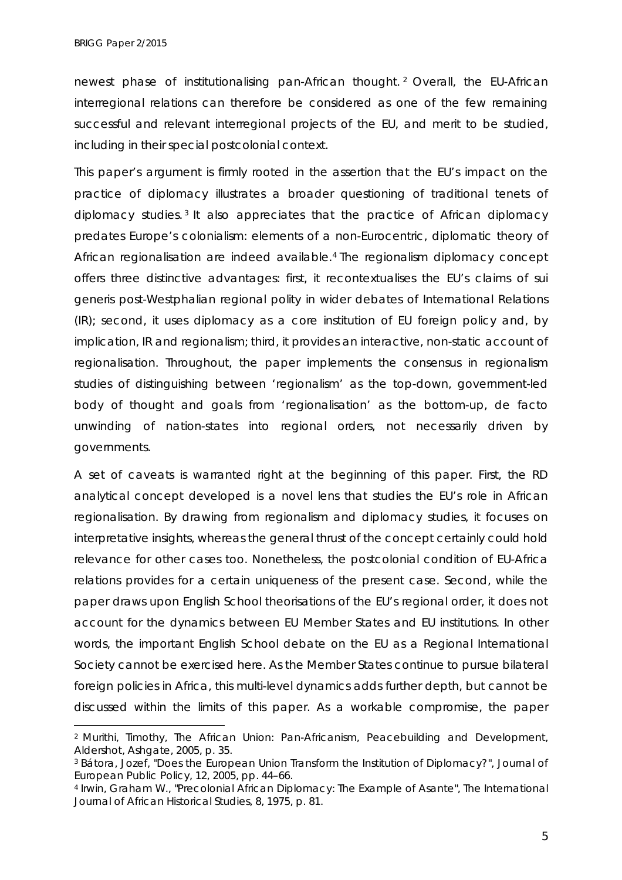-

newest phase of institutionalising pan-African thought. [2](#page-5-0) Overall, the EU-African interregional relations can therefore be considered as one of the few remaining successful and relevant interregional projects of the EU, and merit to be studied, including in their special postcolonial context.

This paper's argument is firmly rooted in the assertion that the EU's impact on the practice of diplomacy illustrates a broader questioning of traditional tenets of diplomacy studies. [3](#page-5-1) It also appreciates that the practice of African diplomacy predates Europe's colonialism: elements of a non-Eurocentric, diplomatic theory of African regionalisation are indeed available.[4](#page-5-2) The regionalism diplomacy concept offers three distinctive advantages: first, it recontextualises the EU's claims of *sui generis* post-Westphalian regional polity in wider debates of International Relations (IR); second, it uses diplomacy as a core institution of EU foreign policy and, by implication, IR and regionalism; third, it provides an interactive, non-static account of regionalisation. Throughout, the paper implements the consensus in regionalism studies of distinguishing between 'regionalism' as the top-down, government-led body of thought and goals from 'regionalisation' as the bottom-up, *de facto* unwinding of nation-states into regional orders, not necessarily driven by governments.

A set of caveats is warranted right at the beginning of this paper. First, the RD analytical concept developed is a novel lens that studies the EU's role in *African* regionalisation. By drawing from regionalism and diplomacy studies, it focuses on interpretative insights, whereas the general thrust of the concept certainly could hold relevance for other cases too. Nonetheless, the postcolonial condition of EU-Africa relations provides for a certain uniqueness of the present case. Second, while the paper draws upon English School theorisations of the EU's regional order, it does not account for the dynamics between EU Member States and EU institutions. In other words, the important English School debate on the EU as a Regional International Society cannot be exercised here. As the Member States continue to pursue bilateral foreign policies in Africa, this multi-level dynamics adds further depth, but cannot be discussed within the limits of this paper. As a workable compromise, the paper

<span id="page-5-0"></span><sup>2</sup> Murithi, Timothy, *The African Union: Pan-Africanism, Peacebuilding and Development*, Aldershot, Ashgate, 2005, p. 35.

<span id="page-5-1"></span><sup>3</sup> Bátora, Jozef, "Does the European Union Transform the Institution of Diplomacy?", *Journal of European Public Policy*, 12, 2005, pp. 44–66.

<span id="page-5-2"></span><sup>4</sup> Irwin, Graham W., "Precolonial African Diplomacy: The Example of Asante", *The International Journal of African Historical Studies*, 8, 1975, p. 81.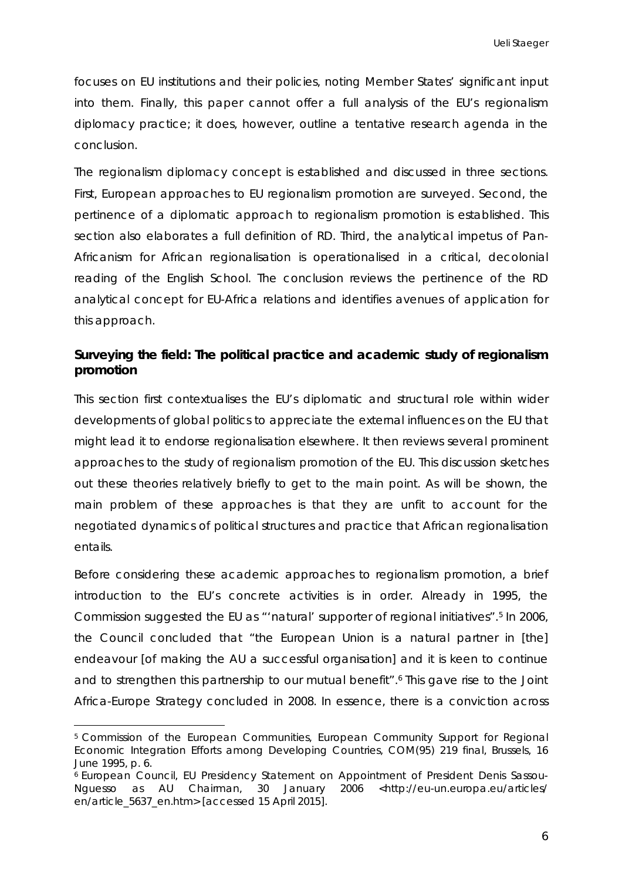focuses on EU institutions and their policies, noting Member States' significant input into them. Finally, this paper cannot offer a full analysis of the EU's regionalism diplomacy *practice*; it does, however, outline a tentative research agenda in the conclusion.

The regionalism diplomacy concept is established and discussed in three sections. First, European approaches to EU regionalism promotion are surveyed. Second, the pertinence of a diplomatic approach to regionalism promotion is established. This section also elaborates a full definition of RD. Third, the analytical impetus of Pan-Africanism for African regionalisation is operationalised in a critical, decolonial reading of the English School. The conclusion reviews the pertinence of the RD analytical concept for EU-Africa relations and identifies avenues of application for this approach.

# **Surveying the field: The political practice and academic study of regionalism promotion**

This section first contextualises the EU's diplomatic and structural role within wider developments of global politics to appreciate the external influences on the EU that might lead it to endorse regionalisation elsewhere. It then reviews several prominent approaches to the study of regionalism promotion of the EU. This discussion sketches out these theories relatively briefly to get to the main point. As will be shown, the main problem of these approaches is that they are unfit to account for the *negotiated* dynamics of political structures and practice that African regionalisation entails.

Before considering these academic approaches to regionalism promotion, a brief introduction to the EU's concrete activities is in order. Already in 1995, the Commission suggested the EU as "'natural' supporter of regional initiatives".[5](#page-6-0) In 2006, the Council concluded that "the European Union is a natural partner in [the] endeavour [of making the AU a successful organisation] and it is keen to continue and to strengthen this partnership to our mutual benefit".[6](#page-6-1) This gave rise to the Joint Africa-Europe Strategy concluded in 2008. In essence, there is a conviction across

<span id="page-6-0"></span><sup>5</sup> Commission of the European Communities, *European Community Support for Regional Economic Integration Efforts among Developing Countries*, COM(95) 219 final, Brussels, 16 June 1995, p. 6.

<span id="page-6-1"></span><sup>6</sup> European Council, *EU Presidency Statement on Appointment of President Denis Sassou-Nguesso as AU Chairman*, 30 January 2006 <http://eu-un.europa.eu/articles/ en/article\_5637\_en.htm> [accessed 15 April 2015].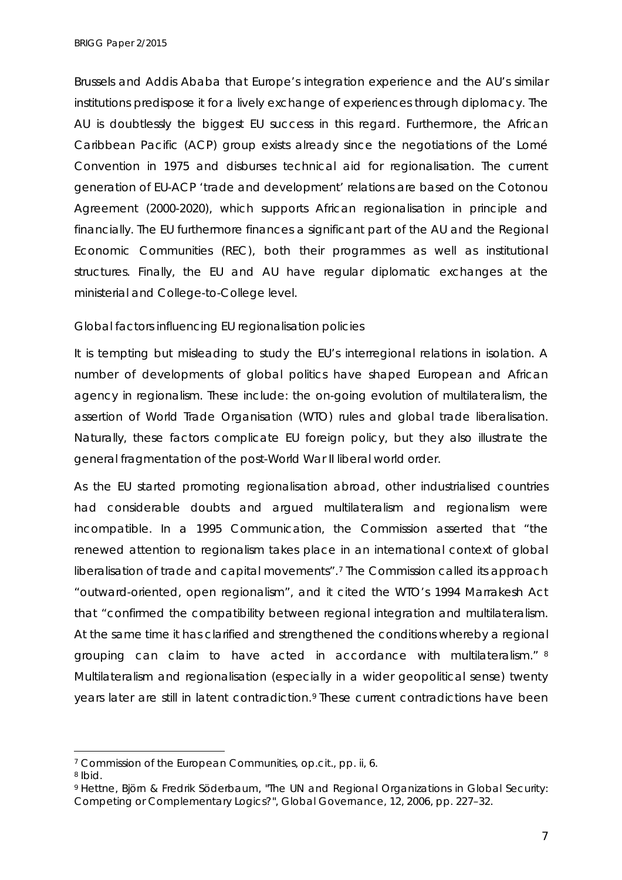Brussels *and* Addis Ababa that Europe's integration experience and the AU's similar institutions predispose it for a lively exchange of experiences through diplomacy. The AU is doubtlessly the biggest EU success in this regard. Furthermore, the African Caribbean Pacific (ACP) group exists already since the negotiations of the Lomé Convention in 1975 and disburses technical aid for regionalisation. The current generation of EU-ACP 'trade and development' relations are based on the Cotonou Agreement (2000-2020), which supports African regionalisation in principle and financially. The EU furthermore finances a significant part of the AU and the Regional Economic Communities (REC), both their programmes as well as institutional structures. Finally, the EU and AU have regular diplomatic exchanges at the ministerial and College-to-College level.

#### *Global factors influencing EU regionalisation policies*

It is tempting but misleading to study the EU's interregional relations in isolation. A number of developments of global politics have shaped European and African agency in regionalism. These include: the on-going evolution of multilateralism, the assertion of World Trade Organisation (WTO) rules and global trade liberalisation. Naturally, these factors complicate EU foreign policy, but they also illustrate the general fragmentation of the post-World War II liberal world order.

As the EU started promoting regionalisation abroad, other industrialised countries had considerable doubts and argued multilateralism and regionalism were incompatible. In a 1995 Communication, the Commission asserted that "the renewed attention to regionalism takes place in an international context of global liberalisation of trade and capital movements".[7](#page-7-0) The Commission called its approach "outward-oriented, open regionalism", and it cited the WTO's 1994 Marrakesh Act that "confirmed the compatibility between regional integration and multilateralism. At the same time it has clarified and strengthened the conditions whereby a regional grouping can claim to have acted in accordance with multilateralism." [8](#page-7-1) Multilateralism and regionalisation (especially in a wider geopolitical sense) twenty years later are still in latent contradiction.<sup>[9](#page-7-2)</sup> These current contradictions have been

 $\ddot{\phantom{a}}$ 

<span id="page-7-0"></span><sup>7</sup> Commission of the European Communities, *op.cit.*, pp. ii, 6.

<span id="page-7-1"></span><sup>8</sup> *Ibid.*

<span id="page-7-2"></span><sup>9</sup> Hettne, Björn & Fredrik Söderbaum, "The UN and Regional Organizations in Global Security: Competing or Complementary Logics?", *Global Governance*, 12, 2006, pp. 227–32.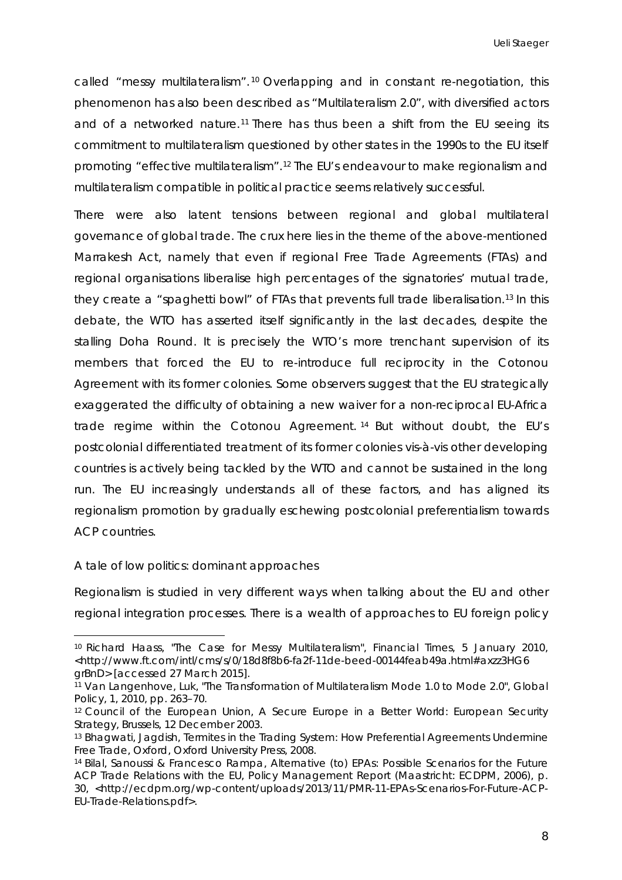called "messy multilateralism". [10](#page-8-0) Overlapping and in constant re-negotiation, this phenomenon has also been described as "Multilateralism 2.0", with diversified actors and of a networked nature.[11](#page-8-1) There has thus been a shift from the EU seeing its commitment to multilateralism questioned by other states in the 1990s to the EU itself promoting "effective multilateralism".[12](#page-8-2) The EU's endeavour to make regionalism and multilateralism compatible in political practice seems relatively successful.

There were also latent tensions between regional and global multilateral governance of global trade. The crux here lies in the theme of the above-mentioned Marrakesh Act, namely that even if regional Free Trade Agreements (FTAs) and regional organisations liberalise high percentages of the signatories' mutual trade, they create a "spaghetti bowl" of FTAs that prevents full trade liberalisation.[13](#page-8-3) In this debate, the WTO has asserted itself significantly in the last decades, despite the stalling Doha Round. It is precisely the WTO's more trenchant supervision of its members that forced the EU to re-introduce full reciprocity in the Cotonou Agreement with its former colonies. Some observers suggest that the EU strategically exaggerated the difficulty of obtaining a new waiver for a non-reciprocal EU-Africa trade regime within the Cotonou Agreement. [14](#page-8-4) But without doubt, the EU's postcolonial differentiated treatment of its former colonies *vis-à-vis* other developing countries is actively being tackled by the WTO and cannot be sustained in the long run. The EU increasingly understands all of these factors, and has aligned its regionalism promotion by gradually eschewing postcolonial preferentialism towards ACP countries.

#### *A tale of low politics: dominant approaches*

Regionalism is studied in very different ways when talking about the EU and other regional integration processes. There is a wealth of approaches to EU foreign policy

<span id="page-8-0"></span><sup>10</sup> Richard Haass, "The Case for Messy Multilateralism", *Financial Times*, 5 January 2010, <http://www.ft.com/intl/cms/s/0/18d8f8b6-fa2f-11de-beed-00144feab49a.html#axzz3HG6 grBnD> [accessed 27 March 2015].

<span id="page-8-1"></span><sup>11</sup> Van Langenhove, Luk, "The Transformation of Multilateralism Mode 1.0 to Mode 2.0", *Global Policy*, 1, 2010, pp. 263–70.

<span id="page-8-2"></span><sup>12</sup> Council of the European Union, *A Secure Europe in a Better World: European Security Strategy*, Brussels, 12 December 2003.

<span id="page-8-3"></span><sup>13</sup> Bhagwati, Jagdish, *Termites in the Trading System: How Preferential Agreements Undermine Free Trade*, Oxford, Oxford University Press, 2008.

<span id="page-8-4"></span><sup>14</sup> Bilal, Sanoussi & Francesco Rampa, *Alternative (to) EPAs: Possible Scenarios for the Future ACP Trade Relations with the EU*, Policy Management Report (Maastricht: ECDPM, 2006), p. 30, <http://ecdpm.org/wp-content/uploads/2013/11/PMR-11-EPAs-Scenarios-For-Future-ACP-EU-Trade-Relations.pdf>.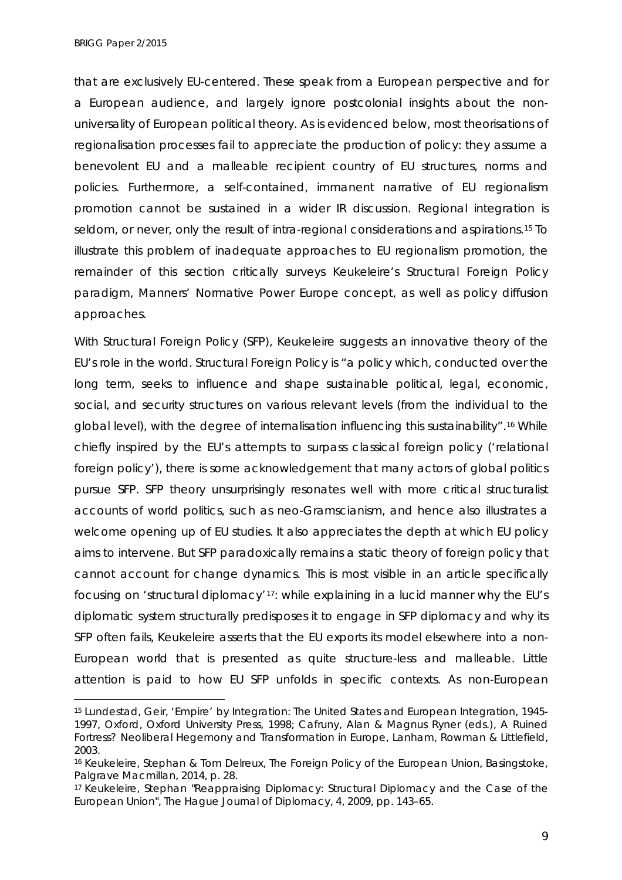*BRIGG Paper 2/2015*

-

that are exclusively EU-centered. These speak from a European perspective and for a European audience, and largely ignore postcolonial insights about the nonuniversality of European political theory. As is evidenced below, most theorisations of regionalisation processes fail to appreciate the production of policy: they assume a benevolent EU and a malleable recipient country of EU structures, norms and policies. Furthermore, a self-contained, immanent narrative of EU regionalism promotion cannot be sustained in a wider IR discussion. Regional integration is seldom, or never, only the result of intra-regional considerations and aspirations.<sup>15</sup> To illustrate this problem of inadequate approaches to EU regionalism promotion, the remainder of this section critically surveys Keukeleire's Structural Foreign Policy paradigm, Manners' Normative Power Europe concept, as well as policy diffusion approaches.

With Structural Foreign Policy (SFP), Keukeleire suggests an innovative theory of the EU's role in the world. Structural Foreign Policy is "a policy which, conducted over the long term, seeks to influence and shape sustainable political, legal, economic, social, and security structures on various relevant levels (from the individual to the global level), with the degree of internalisation influencing this sustainability"[.16](#page-9-1) While chiefly inspired by the EU's attempts to surpass classical foreign policy ('relational foreign policy'), there is some acknowledgement that many actors of global politics pursue SFP. SFP theory unsurprisingly resonates well with more critical structuralist accounts of world politics, such as neo-Gramscianism, and hence also illustrates a welcome opening up of EU studies. It also appreciates the depth at which EU policy aims to intervene. But SFP paradoxically remains a static theory of foreign policy that cannot account for change dynamics. This is most visible in an article specifically focusing on 'structural diplomacy'[17:](#page-9-2) while explaining in a lucid manner why the EU's diplomatic system structurally predisposes it to engage in SFP diplomacy and why its SFP often fails, Keukeleire asserts that the EU exports its model elsewhere into a non-European world that is presented as quite structure-less and malleable. Little attention is paid to how EU SFP unfolds in specific contexts. As non-European

<span id="page-9-0"></span><sup>15</sup> Lundestad, Geir, *'Empire' by Integration: The United States and European Integration, 1945- 1997*, Oxford, Oxford University Press, 1998; Cafruny, Alan & Magnus Ryner (eds.), *A Ruined Fortress? Neoliberal Hegemony and Transformation in Europe*, Lanham, Rowman & Littlefield, 2003.

<span id="page-9-1"></span><sup>16</sup> Keukeleire, Stephan & Tom Delreux, *The Foreign Policy of the European Union*, Basingstoke, Palgrave Macmillan, 2014, p. 28.

<span id="page-9-2"></span><sup>17</sup> Keukeleire, Stephan "Reappraising Diplomacy: Structural Diplomacy and the Case of the European Union", *The Hague Journal of Diplomacy*, 4, 2009, pp. 143–65.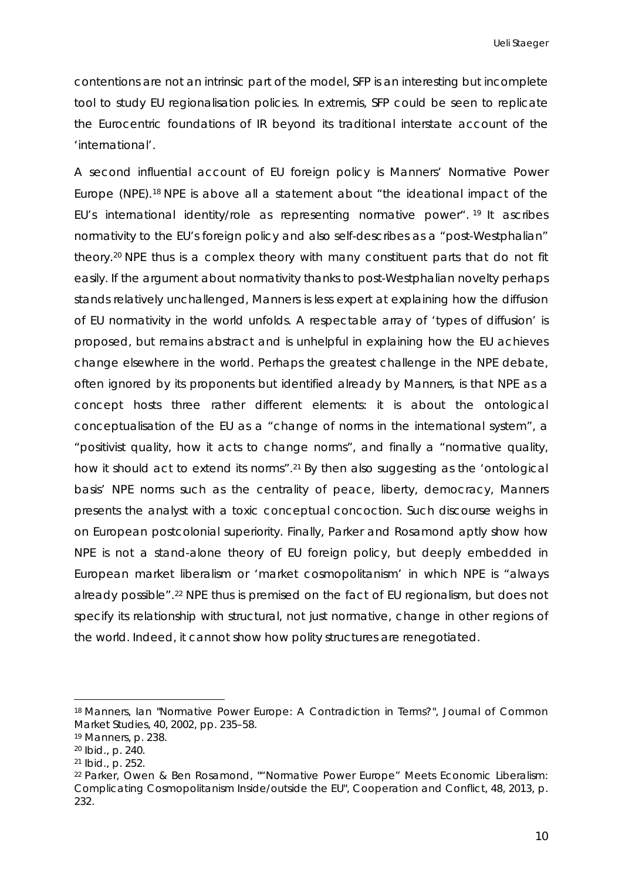contentions are not an intrinsic part of the model, SFP is an interesting but incomplete tool to study EU regionalisation policies. In extremis, SFP could be seen to replicate the Eurocentric foundations of IR beyond its traditional interstate account of the 'international'.

A second influential account of EU foreign policy is Manners' Normative Power Europe (NPE).[18](#page-10-0) NPE is above all a statement about "the ideational impact of the EU's international identity/role as representing normative power". [19](#page-10-1) It ascribes normativity to the EU's foreign policy and also self-describes as a "post-Westphalian" theory[.20](#page-10-2) NPE thus is a complex theory with many constituent parts that do not fit easily. If the argument about normativity thanks to post-Westphalian novelty perhaps stands relatively unchallenged, Manners is less expert at explaining how the diffusion of EU normativity in the world unfolds. A respectable array of 'types of diffusion' is proposed, but remains abstract and is unhelpful in explaining how the EU achieves change elsewhere in the world. Perhaps the greatest challenge in the NPE debate, often ignored by its proponents but identified already by Manners, is that NPE as a concept hosts three rather different elements: it is about the ontological conceptualisation of the EU as a "change of norms in the international system", a "positivist quality, how it acts to change norms", and finally a "normative quality, how it should act to extend its norms".<sup>21</sup> By then also suggesting as the 'ontological basis' NPE norms such as the centrality of peace, liberty, democracy, Manners presents the analyst with a toxic conceptual concoction. Such discourse weighs in on European postcolonial superiority. Finally, Parker and Rosamond aptly show how NPE is not a stand-alone theory of EU foreign policy, but deeply embedded in European market liberalism or 'market cosmopolitanism' in which NPE is "always already possible".[22](#page-10-4) NPE thus is premised on the fact of EU regionalism, but does not specify its relationship with structural, not just normative, change in other regions of the world. Indeed, it cannot show how polity structures are renegotiated.

<span id="page-10-0"></span><sup>18</sup> Manners, Ian "Normative Power Europe: A Contradiction in Terms?", *Journal of Common Market Studies*, 40, 2002, pp. 235–58.

<span id="page-10-1"></span><sup>19</sup> Manners, p. 238.

<span id="page-10-2"></span><sup>20</sup> *Ibid.,* p. 240.

<span id="page-10-3"></span><sup>21</sup> *Ibid.,* p. 252.

<span id="page-10-4"></span><sup>22</sup> Parker, Owen & Ben Rosamond, ""Normative Power Europe" Meets Economic Liberalism: Complicating Cosmopolitanism Inside/outside the EU", *Cooperation and Conflict*, 48, 2013, p. 232.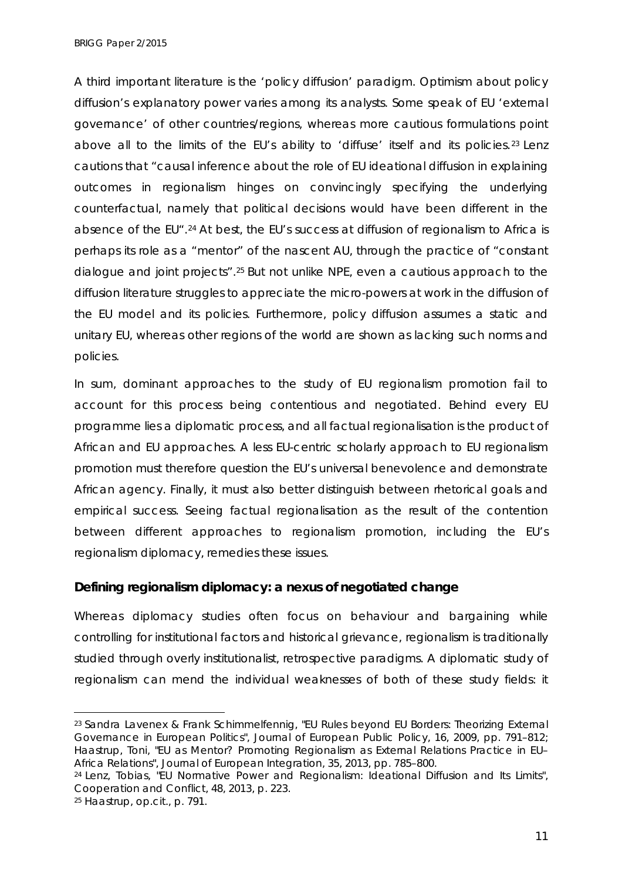*BRIGG Paper 2/2015*

A third important literature is the 'policy diffusion' paradigm. Optimism about policy diffusion's explanatory power varies among its analysts. Some speak of EU 'external governance' of other countries/regions, whereas more cautious formulations point above all to the limits of the EU's ability to 'diffuse' itself and its policies.<sup>[23](#page-11-0)</sup> Lenz cautions that "causal inference about the role of EU ideational diffusion in explaining outcomes in regionalism hinges on convincingly specifying the underlying counterfactual, namely that political decisions would have been different in the absence of the EU".[24](#page-11-1) At best, the EU's success at diffusion of regionalism to Africa is perhaps its role as a "mentor" of the nascent AU, through the practice of "constant dialogue and joint projects".[25](#page-11-2) But not unlike NPE, even a cautious approach to the diffusion literature struggles to appreciate the micro-powers at work in the diffusion of the EU model and its policies. Furthermore, policy diffusion assumes a static and unitary EU, whereas other regions of the world are shown as lacking such norms and policies.

In sum, dominant approaches to the study of EU regionalism promotion fail to account for this process being contentious and negotiated. Behind every EU programme lies a diplomatic process, and all factual regionalisation is the product of African *and* EU approaches. A less EU-centric scholarly approach to EU regionalism promotion must therefore question the EU's universal benevolence and demonstrate African agency. Finally, it must also better distinguish between rhetorical goals and empirical success. Seeing factual regionalisation as the result of the contention between different approaches to regionalism promotion, including the EU's regionalism diplomacy, remedies these issues.

# **Defining regionalism diplomacy: a nexus of negotiated change**

Whereas diplomacy studies often focus on behaviour and bargaining while controlling for institutional factors and historical grievance, regionalism is traditionally studied through overly institutionalist, retrospective paradigms. A diplomatic study of regionalism can mend the individual weaknesses of both of these study fields: it

 $\ddot{\phantom{a}}$ 

<span id="page-11-0"></span><sup>23</sup> Sandra Lavenex & Frank Schimmelfennig, "EU Rules beyond EU Borders: Theorizing External Governance in European Politics", *Journal of European Public Policy*, 16, 2009, pp. 791–812; Haastrup, Toni, "EU as Mentor? Promoting Regionalism as External Relations Practice in EU– Africa Relations", *Journal of European Integration*, 35, 2013, pp. 785–800.

<span id="page-11-1"></span><sup>24</sup> Lenz, Tobias, "EU Normative Power and Regionalism: Ideational Diffusion and Its Limits", *Cooperation and Conflict*, 48, 2013, p. 223.

<span id="page-11-2"></span><sup>25</sup> Haastrup, *op.cit.,* p. 791.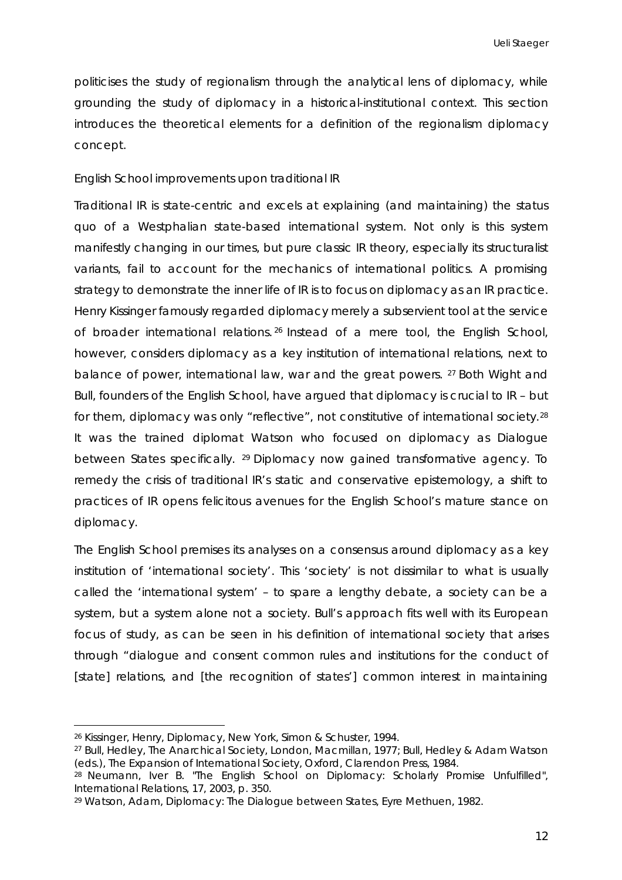politicises the study of regionalism through the analytical lens of diplomacy, while grounding the study of diplomacy in a historical-institutional context. This section introduces the theoretical elements for a definition of the regionalism diplomacy concept.

#### *English School improvements upon traditional IR*

Traditional IR is state-centric and excels at explaining (and maintaining) the *status quo* of a Westphalian state-based international system. Not only is this system manifestly changing in our times, but pure classic IR theory, especially its structuralist variants, fail to account for the mechanics of international politics. A promising strategy to demonstrate the inner life of IR is to focus on diplomacy as an IR practice. Henry Kissinger famously regarded diplomacy merely a subservient tool at the service of broader international relations. [26](#page-12-0) Instead of a mere tool, the English School, however, considers diplomacy as a key institution of international relations, next to balance of power, international law, war and the great powers. <sup>[27](#page-12-1)</sup> Both Wight and Bull, founders of the English School, have argued that diplomacy is crucial to IR – but for them, diplomacy was only "reflective", not constitutive of international society.<sup>[28](#page-12-2)</sup> It was the trained diplomat Watson who focused on diplomacy as *Dialogue between States* specifically. [29](#page-12-3) Diplomacy now gained transformative agency. To remedy the crisis of traditional IR's static and conservative epistemology, a shift to *practices* of IR opens felicitous avenues for the English School's mature stance on diplomacy.

The English School premises its analyses on a consensus around diplomacy as a key institution of 'international society'. This 'society' is not dissimilar to what is usually called the 'international system' – to spare a lengthy debate, a society can be a system, but a system alone not a society. Bull's approach fits well with its European focus of study, as can be seen in his definition of international society that arises through "dialogue and consent common rules and institutions for the conduct of [state] relations, and [the recognition of states'] common interest in maintaining

<span id="page-12-1"></span><span id="page-12-0"></span><sup>26</sup> Kissinger, Henry, *Diplomacy*, New York, Simon & Schuster, 1994.

<span id="page-12-2"></span><sup>27</sup> Bull, Hedley, *The Anarchical Society*, London, Macmillan, 1977; Bull, Hedley & Adam Watson (eds.), *The Expansion of International Society*, Oxford, Clarendon Press, 1984.

<sup>28</sup> Neumann, Iver B. "The English School on Diplomacy: Scholarly Promise Unfulfilled", *International Relations*, 17, 2003, p. 350.

<span id="page-12-3"></span><sup>29</sup> Watson, Adam, *Diplomacy: The Dialogue between States*, Eyre Methuen, 1982.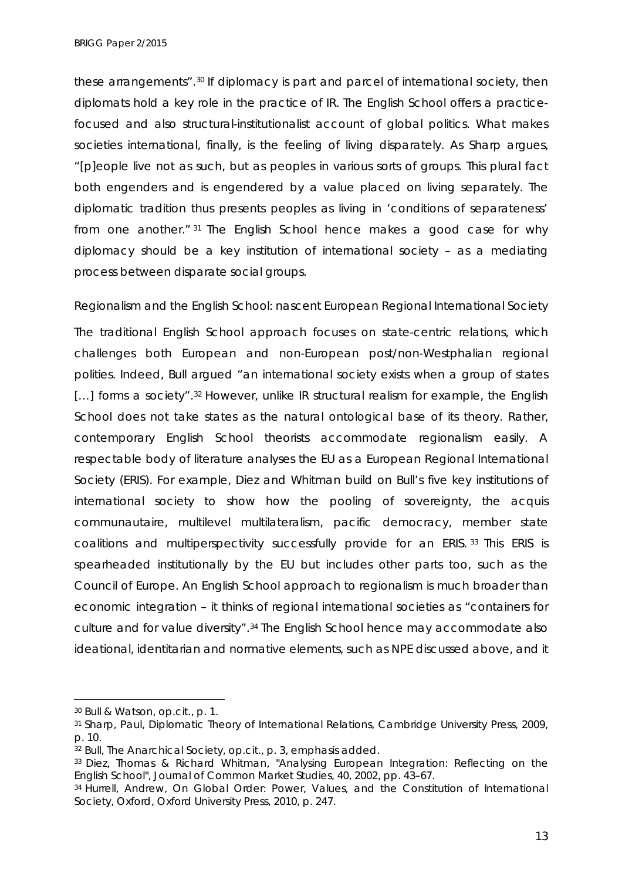these arrangements".[30](#page-13-0) If diplomacy is part and parcel of international society, then diplomats hold a key role in the practice of IR. The English School offers a practicefocused and also structural-institutionalist account of global politics. What makes societies international, finally, is the feeling of living disparately. As Sharp argues, "[p]eople live not as such, but as peoples in various sorts of groups. This plural fact both engenders and is engendered by a value placed on living separately. The diplomatic tradition thus presents peoples as living in 'conditions of separateness' from one another." [31](#page-13-1) The English School hence makes a good case for why diplomacy should be a key institution of international society – as a mediating process between disparate social groups.

*Regionalism and the English School: nascent European Regional International Society*

The traditional English School approach focuses on state-centric relations, which challenges both European and non-European post/non-Westphalian regional polities. Indeed, Bull argued "an international society exists when *a group of states* [...] forms a society".<sup>[32](#page-13-2)</sup> However, unlike IR structural realism for example, the English School does not take states as the natural ontological base of its theory. Rather, contemporary English School theorists accommodate regionalism easily. A respectable body of literature analyses the EU as a European Regional International Society (ERIS). For example, Diez and Whitman build on Bull's five key institutions of international society to show how the pooling of sovereignty, the *acquis communautaire*, multilevel multilateralism, pacific democracy, member state coalitions and multiperspectivity successfully provide for an ERIS. [33](#page-13-3) This ERIS is spearheaded institutionally by the EU but includes other parts too, such as the Council of Europe. An English School approach to regionalism is much broader than economic integration – it thinks of regional international societies as "containers for culture and for value diversity".[34](#page-13-4) The English School hence may accommodate also ideational, identitarian and normative elements, such as NPE discussed above, and it

<span id="page-13-0"></span><sup>30</sup> Bull & Watson, *op.cit.*, p. 1.

<span id="page-13-1"></span><sup>31</sup> Sharp, Paul, *Diplomatic Theory of International Relations*, Cambridge University Press, 2009, p. 10.

<span id="page-13-2"></span><sup>32</sup> Bull, *The Anarchical Society*, *op.cit.*, p. 3, emphasis added.

<span id="page-13-3"></span><sup>33</sup> Diez, Thomas & Richard Whitman, "Analysing European Integration: Reflecting on the English School", *Journal of Common Market Studies*, 40, 2002, pp. 43–67.

<span id="page-13-4"></span><sup>34</sup> Hurrell, Andrew, *On Global Order: Power, Values, and the Constitution of International Society*, Oxford, Oxford University Press, 2010, p. 247.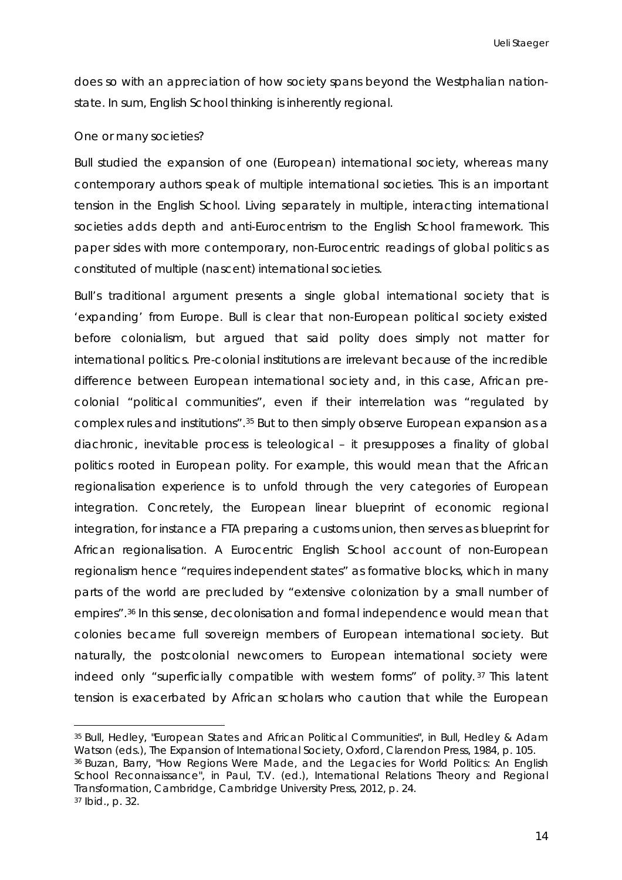does so with an appreciation of how society spans beyond the Westphalian nationstate. In sum, English School thinking is inherently regional.

#### *One or many societies?*

Bull studied the expansion of *one* (European) international society, whereas many contemporary authors speak of multiple international societies. This is an important tension in the English School. Living separately in multiple, interacting international societies adds depth and anti-Eurocentrism to the English School framework. This paper sides with more contemporary, non-Eurocentric readings of global politics as constituted of multiple (nascent) international societies.

Bull's traditional argument presents a single global international society that is 'expanding' from Europe. Bull is clear that non-European political society existed before colonialism, but argued that said polity does simply not matter for international politics. Pre-colonial institutions are irrelevant because of the incredible difference between European international society and, in this case, African precolonial "political communities", even if their interrelation was "regulated by complex rules and institutions".[35](#page-14-0) But to then simply observe European expansion as a diachronic, inevitable process is teleological – it presupposes a finality of global politics rooted in European polity. For example, this would mean that the African regionalisation experience is to unfold through the very categories of European integration. Concretely, the European linear blueprint of economic regional integration, for instance a FTA preparing a customs union, then serves as blueprint for African regionalisation. A Eurocentric English School account of non-European regionalism hence "requires independent states" as formative blocks, which in many parts of the world are precluded by "extensive colonization by a small number of empires".[36](#page-14-1) In this sense, decolonisation and formal independence would mean that colonies became full sovereign members of European international society. But naturally, the postcolonial newcomers to European international society were indeed only "superficially compatible with western forms" of polity. [37](#page-14-2) This latent tension is exacerbated by African scholars who caution that while the European

<span id="page-14-2"></span><span id="page-14-1"></span><span id="page-14-0"></span><sup>35</sup> Bull, Hedley, "European States and African Political Communities", in Bull, Hedley & Adam Watson (eds.), *The Expansion of International Society*, Oxford, Clarendon Press, 1984, p. 105. <sup>36</sup> Buzan, Barry, "How Regions Were Made, and the Legacies for World Politics: An English School Reconnaissance", in Paul, T.V. (ed.), *International Relations Theory and Regional Transformation*, Cambridge, Cambridge University Press, 2012, p. 24. <sup>37</sup> *Ibid.,* p. 32. -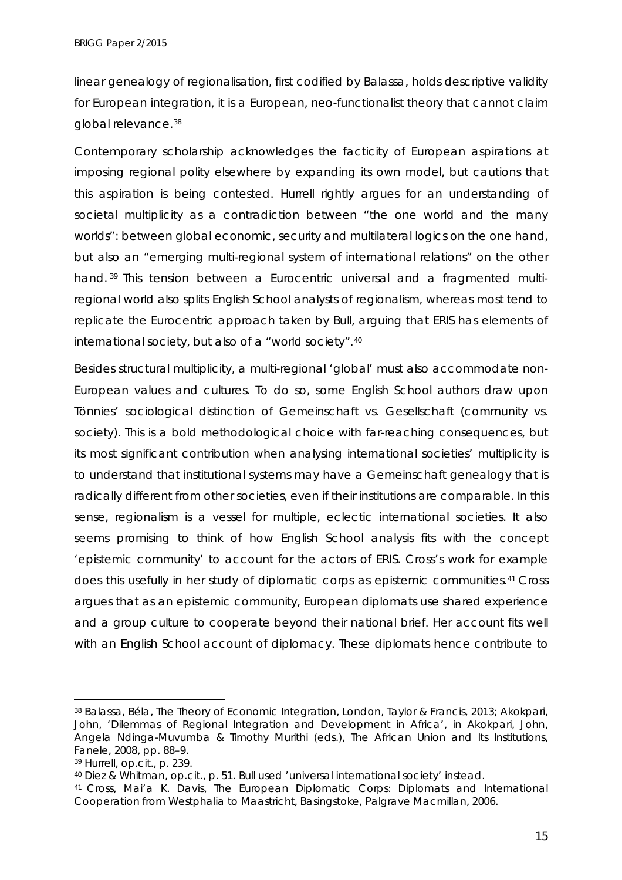linear genealogy of regionalisation, first codified by Balassa, holds descriptive validity for European integration, it is a European, neo-functionalist theory that cannot claim global relevance.[38](#page-15-0) 

Contemporary scholarship acknowledges the facticity of European aspirations at imposing regional polity elsewhere by expanding its own model, but cautions that this aspiration is being contested. Hurrell rightly argues for an understanding of societal multiplicity as a contradiction between "the one world and the many worlds": between global economic, security and multilateral logics on the one hand, but also an "emerging multi-regional system of international relations" on the other hand. [39](#page-15-1) This tension between a Eurocentric universal and a fragmented multiregional world also splits English School analysts of regionalism, whereas most tend to replicate the Eurocentric approach taken by Bull, arguing that ERIS has elements of international society, but also of a "world society".[40](#page-15-2)

Besides structural multiplicity, a multi-regional 'global' must also accommodate non-European values and cultures. To do so, some English School authors draw upon Tönnies' sociological distinction of *Gemeinschaft* vs. *Gesellschaft* (community vs. society). This is a bold methodological choice with far-reaching consequences, but its most significant contribution when analysing international societies' multiplicity is to understand that institutional systems may have a *Gemeinschaft* genealogy that is radically different from other societies, even if their institutions are comparable. In this sense, regionalism is a vessel for multiple, eclectic international societies. It also seems promising to think of how English School analysis fits with the concept 'epistemic community' to account for the actors of ERIS. Cross's work for example does this usefully in her study of diplomatic corps as epistemic communities[.41](#page-15-3) Cross argues that as an epistemic community, European diplomats use shared experience and a group culture to cooperate beyond their national brief. Her account fits well with an English School account of diplomacy. These diplomats hence contribute to

<span id="page-15-0"></span><sup>38</sup> Balassa, Béla, *The Theory of Economic Integration*, London, Taylor & Francis, 2013; Akokpari, John, 'Dilemmas of Regional Integration and Development in Africa', in Akokpari, John, Angela Ndinga-Muvumba & Timothy Murithi (eds.), *The African Union and Its Institutions*, Fanele, 2008, pp. 88–9. -

<span id="page-15-1"></span><sup>39</sup> Hurrell, *op.cit.*, p. 239.

<span id="page-15-2"></span><sup>40</sup> Diez & Whitman, *op.cit.*, p. 51. Bull used 'universal international society' instead.

<span id="page-15-3"></span><sup>41</sup> Cross, Mai'a K. Davis, *The European Diplomatic Corps: Diplomats and International Cooperation from Westphalia to Maastricht*, Basingstoke, Palgrave Macmillan, 2006.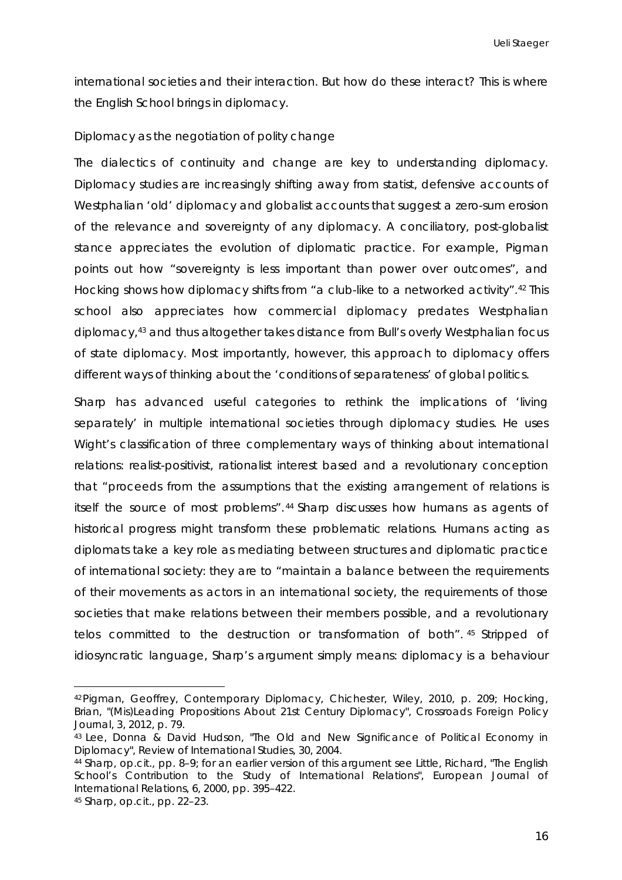international societies and their interaction. But how do these interact? This is where the English School brings in diplomacy.

#### *Diplomacy as the negotiation of polity change*

The dialectics of continuity and change are key to understanding diplomacy. Diplomacy studies are increasingly shifting away from statist, defensive accounts of Westphalian 'old' diplomacy and globalist accounts that suggest a zero-sum erosion of the relevance and sovereignty of any diplomacy. A conciliatory, post-globalist stance appreciates the evolution of diplomatic practice. For example, Pigman points out how "sovereignty is less important than power over outcomes", and Hocking shows how diplomacy shifts from "a club-like to a networked activity".[42](#page-16-0) This school also appreciates how commercial diplomacy predates Westphalian diplomacy,[43](#page-16-1) and thus altogether takes distance from Bull's overly Westphalian focus of state diplomacy. Most importantly, however, this approach to diplomacy offers different ways of thinking about the 'conditions of separateness' of global politics.

Sharp has advanced useful categories to rethink the implications of 'living separately' in multiple international societies through diplomacy studies. He uses Wight's classification of three complementary ways of thinking about international relations: realist-positivist, rationalist interest based and a revolutionary conception that "proceeds from the assumptions that the existing arrangement of relations is itself the source of most problems". [44](#page-16-2) Sharp discusses how humans as agents of historical progress might transform these problematic relations. Humans acting as diplomats take a key role as mediating between structures and diplomatic practice of international society: they are to "maintain a balance between the requirements of their movements as actors in an international society, the requirements of those societies that make relations between their members possible, and a revolutionary *telos* committed to the destruction or transformation of both". [45](#page-16-3) Stripped of idiosyncratic language, Sharp's argument simply means: diplomacy is a behaviour

<span id="page-16-3"></span><sup>45</sup> Sharp, *op.cit.*, pp. 22–23.

<span id="page-16-0"></span><sup>42</sup>Pigman, Geoffrey, *Contemporary Diplomacy*, Chichester, Wiley, 2010, p. 209; Hocking, Brian, "(Mis)Leading Propositions About 21st Century Diplomacy", *Crossroads Foreign Policy Journal*, 3, 2012, p. 79.

<span id="page-16-1"></span><sup>43</sup> Lee, Donna & David Hudson, "The Old and New Significance of Political Economy in Diplomacy", *Review of International Studies*, 30, 2004.

<span id="page-16-2"></span><sup>44</sup> Sharp, *op.cit.,* pp. 8–9; for an earlier version of this argument see Little, Richard, "The English School's Contribution to the Study of International Relations", *European Journal of International Relations*, 6, 2000, pp. 395–422.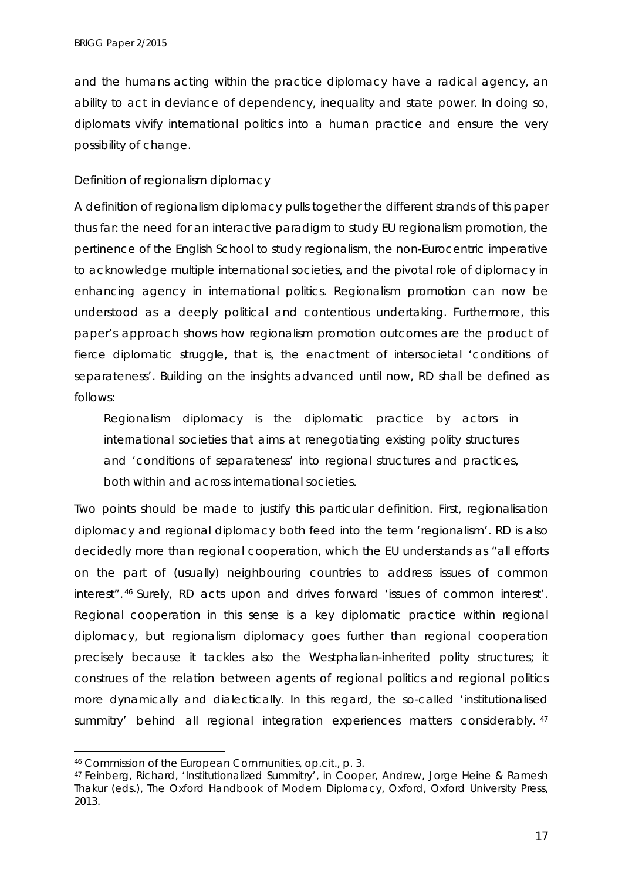and the humans acting within the practice diplomacy have a radical agency, an ability to act in deviance of dependency, inequality and state power. In doing so, diplomats vivify international politics into a human practice and ensure the very possibility of change.

### *Definition of regionalism diplomacy*

A definition of regionalism diplomacy pulls together the different strands of this paper thus far: the need for an interactive paradigm to study EU regionalism promotion, the pertinence of the English School to study regionalism, the non-Eurocentric imperative to acknowledge multiple international societies, and the pivotal role of diplomacy in enhancing agency in international politics. Regionalism promotion can now be understood as a deeply political and contentious undertaking. Furthermore, this paper's approach shows how regionalism promotion outcomes are the product of fierce diplomatic struggle, that is, the enactment of intersocietal 'conditions of separateness'. Building on the insights advanced until now, RD shall be defined as follows:

Regionalism diplomacy is the diplomatic practice by actors in international societies that aims at renegotiating existing polity structures and 'conditions of separateness' into regional structures and practices, both within and across international societies.

Two points should be made to justify this particular definition. First, regionalisation diplomacy and regional diplomacy both feed into the term 'regionalism'. RD is also decidedly more than regional cooperation, which the EU understands as "all efforts on the part of (usually) neighbouring countries to address issues of common interest". [46](#page-17-0) Surely, RD acts upon and drives forward 'issues of common interest'. Regional cooperation in this sense is a key diplomatic practice within regional diplomacy, but regionalism diplomacy goes further than regional cooperation precisely because it tackles also the Westphalian-inherited polity structures; it construes of the relation between agents of regional politics and regional politics more dynamically and dialectically. In this regard, the so-called 'institutionalised summitry' behind all regional integration experiences matters considerably. [47](#page-17-1)

 $\ddot{\phantom{a}}$ 

<span id="page-17-0"></span><sup>46</sup> Commission of the European Communities, *op.cit.*, p. 3.

<span id="page-17-1"></span><sup>47</sup> Feinberg, Richard, 'Institutionalized Summitry', in Cooper, Andrew, Jorge Heine & Ramesh Thakur (eds.), *The Oxford Handbook of Modern Diplomacy*, Oxford, Oxford University Press, 2013.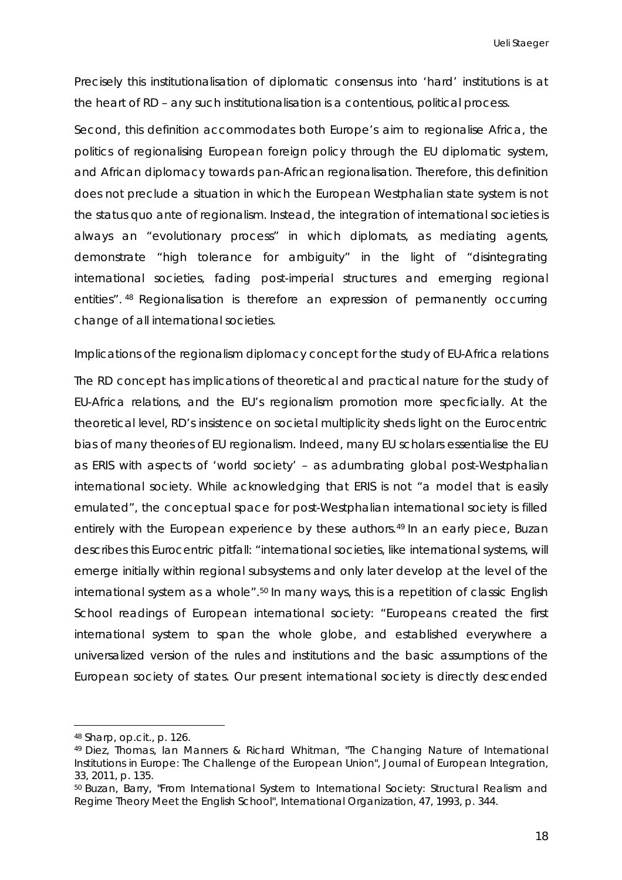Precisely this institutionalisation of diplomatic consensus into 'hard' institutions is at the heart of RD – any such institutionalisation is a contentious, political process.

Second, this definition accommodates both Europe's aim to regionalise Africa, the politics of regionalising European foreign policy through the EU diplomatic system, and African diplomacy towards pan-African regionalisation. Therefore, this definition does not preclude a situation in which the European Westphalian state system is not the *status quo ante* of regionalism. Instead, the integration of international societies is always an "evolutionary process" in which diplomats, as mediating agents, demonstrate "high tolerance for ambiguity" in the light of "disintegrating international societies, fading post-imperial structures and emerging regional entities". [48](#page-18-0) Regionalisation is therefore an expression of permanently occurring change of all international societies.

#### *Implications of the regionalism diplomacy concept for the study of EU-Africa relations*

The RD concept has implications of theoretical and practical nature for the study of EU-Africa relations, and the EU's regionalism promotion more specficially. At the theoretical level, RD's insistence on societal multiplicity sheds light on the Eurocentric bias of many theories of EU regionalism. Indeed, many EU scholars essentialise the EU as ERIS with aspects of 'world society' – as adumbrating global post-Westphalian international society. While acknowledging that ERIS is not "a model that is easily emulated", the conceptual space for post-Westphalian international society is filled entirely with the European experience by these authors.<sup>[49](#page-18-1)</sup> In an early piece, Buzan describes this Eurocentric pitfall: "international societies, like international systems, will emerge initially within regional subsystems and only later develop at the level of the international system as a whole".<sup>[50](#page-18-2)</sup> In many ways, this is a repetition of classic English School readings of European international society: "Europeans created the first international system to span the whole globe, and established everywhere a universalized version of the rules and institutions and the basic assumptions of the European society of states. Our present international society is directly descended

<span id="page-18-0"></span><sup>48</sup> Sharp, *op.cit.*, p. 126.

<span id="page-18-1"></span><sup>49</sup> Diez, Thomas, Ian Manners & Richard Whitman, "The Changing Nature of International Institutions in Europe: The Challenge of the European Union", *Journal of European Integration*, 33, 2011, p. 135.

<span id="page-18-2"></span><sup>50</sup> Buzan, Barry, "From International System to International Society: Structural Realism and Regime Theory Meet the English School", *International Organization*, 47, 1993, p. 344.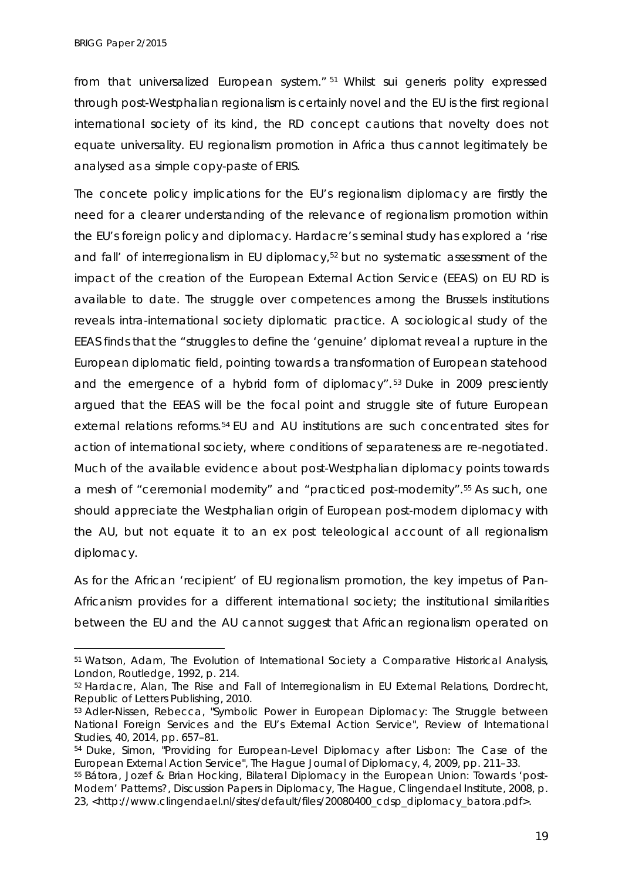-

from that universalized European system." [51](#page-19-0) Whilst sui generis polity expressed through post-Westphalian regionalism is certainly novel and the EU is the first regional international society of its kind, the RD concept cautions that novelty does not equate universality. EU regionalism promotion in Africa thus cannot legitimately be analysed as a simple copy-paste of ERIS.

The concete policy implications for the EU's regionalism diplomacy are firstly the need for a clearer understanding of the relevance of regionalism promotion within the EU's foreign policy and diplomacy. Hardacre's seminal study has explored a 'rise and fall' of interregionalism in EU diplomacy,<sup>[52](#page-19-1)</sup> but no systematic assessment of the impact of the creation of the European External Action Service (EEAS) on EU RD is available to date. The struggle over competences among the Brussels institutions reveals intra-international society diplomatic practice. A sociological study of the EEAS finds that the "struggles to define the 'genuine' diplomat reveal a rupture in the European diplomatic field, pointing towards a transformation of European statehood and the emergence of a hybrid form of diplomacy". [53](#page-19-2) Duke in 2009 presciently argued that the EEAS will be the focal point and struggle site of future European external relations reforms.[54](#page-19-3) EU and AU institutions are such concentrated sites for action of international society, where conditions of separateness are re-negotiated. Much of the available evidence about post-Westphalian diplomacy points towards a mesh of "ceremonial modernity" and "practiced post-modernity".[55](#page-19-4) As such, one should appreciate the Westphalian origin of European post-modern diplomacy with the AU, but not equate it to an *ex post* teleological account of all regionalism diplomacy.

As for the African 'recipient' of EU regionalism promotion, the key impetus of Pan-Africanism provides for a different international society; the institutional similarities between the EU and the AU cannot suggest that African regionalism operated on

<span id="page-19-0"></span><sup>51</sup> Watson, Adam, *The Evolution of International Society a Comparative Historical Analysis*, London, Routledge, 1992, p. 214.

<span id="page-19-1"></span><sup>52</sup> Hardacre, Alan, *[The Rise and Fall of Interregionalism in EU External](http://www.linkedin.com/redir/redirect?url=https%3A%2F%2Fwww%2Erolpub%2Ecom%2Fproduct_info%2Ephp%3Fmanufacturers_id%3D22%26products_id%3D74&urlhash=Y7L6&trk=prof-publication-title-link) Relations*, Dordrecht, Republic of Letters Publishing, 2010.

<span id="page-19-2"></span><sup>53</sup> Adler-Nissen, Rebecca, "Symbolic Power in European Diplomacy: The Struggle between National Foreign Services and the EU's External Action Service", *Review of International Studies*, 40, 2014, pp. 657–81.

<span id="page-19-3"></span><sup>54</sup> Duke, Simon, "Providing for European-Level Diplomacy after Lisbon: The Case of the European External Action Service", *The Hague Journal of Diplomacy*, 4, 2009, pp. 211–33.

<span id="page-19-4"></span><sup>55</sup> Bátora, Jozef & Brian Hocking, *Bilateral Diplomacy in the European Union: Towards 'post-Modern' Patterns?*, Discussion Papers in Diplomacy, The Hague, Clingendael Institute, 2008, p. 23, <http://www.clingendael.nl/sites/default/files/20080400\_cdsp\_diplomacy\_batora.pdf>.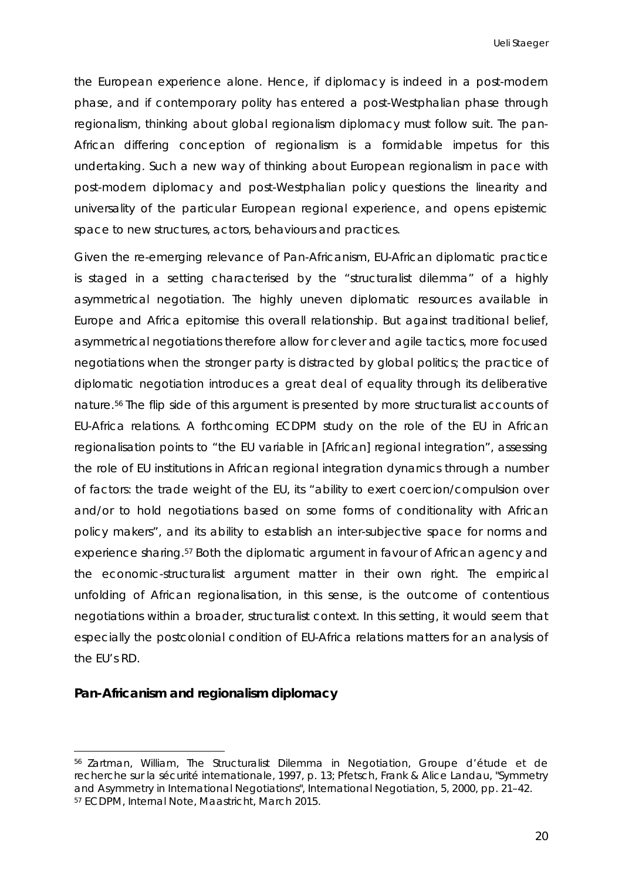the European experience alone. Hence, if diplomacy is indeed in a post-modern phase, and if contemporary polity has entered a post-Westphalian phase through regionalism, thinking about global regionalism diplomacy must follow suit. The pan-African differing conception of regionalism is a formidable impetus for this undertaking. Such a new way of thinking about European regionalism in pace with post-modern diplomacy and post-Westphalian policy questions the linearity and universality of the particular European regional experience, and opens epistemic space to new structures, actors, behaviours and practices.

Given the re-emerging relevance of Pan-Africanism, EU-African diplomatic practice is staged in a setting characterised by the "structuralist dilemma" of a highly asymmetrical negotiation. The highly uneven diplomatic resources available in Europe and Africa epitomise this overall relationship. But against traditional belief, asymmetrical negotiations therefore allow for clever and agile tactics, more focused negotiations when the stronger party is distracted by global politics; the practice of diplomatic negotiation introduces a great deal of equality through its deliberative nature.[56](#page-20-0) The flip side of this argument is presented by more structuralist accounts of EU-Africa relations. A forthcoming ECDPM study on the role of the EU in African regionalisation points to "the EU variable in [African] regional integration", assessing the role of EU institutions in African regional integration dynamics through a number of factors: the trade weight of the EU, its "ability to exert coercion/compulsion over and/or to hold negotiations based on some forms of conditionality with African policy makers", and its ability to establish an inter-subjective space for norms and experience sharing.<sup>[57](#page-20-1)</sup> Both the diplomatic argument in favour of African agency and the economic-structuralist argument matter in their own right. The empirical unfolding of African regionalisation, in this sense, is the outcome of contentious negotiations within a broader, structuralist context. In this setting, it would seem that especially the postcolonial condition of EU-Africa relations matters for an analysis of the EU's RD.

# **Pan-Africanism and regionalism diplomacy**

 $\ddot{\phantom{a}}$ 

<span id="page-20-1"></span><span id="page-20-0"></span><sup>56</sup> Zartman, William, *The Structuralist Dilemma in Negotiation*, Groupe d'étude et de recherche sur la sécurité internationale, 1997, p. 13; Pfetsch, Frank & Alice Landau, "Symmetry and Asymmetry in International Negotiations", *International Negotiation*, 5, 2000, pp. 21–42. <sup>57</sup> ECDPM, *Internal Note*, Maastricht, March 2015.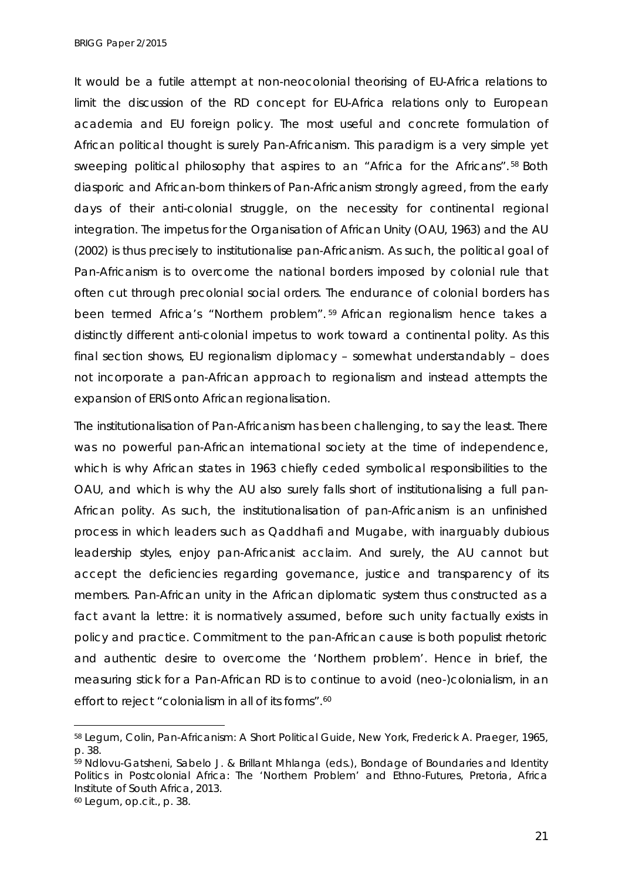*BRIGG Paper 2/2015*

It would be a futile attempt at non-neocolonial theorising of EU-Africa relations to limit the discussion of the RD concept for EU-Africa relations only to European academia and EU foreign policy. The most useful and concrete formulation of African political thought is surely Pan-Africanism. This paradigm is a very simple yet sweeping political philosophy that aspires to an "Africa for the Africans". [58](#page-21-0) Both diasporic and African-born thinkers of Pan-Africanism strongly agreed, from the early days of their anti-colonial struggle, on the necessity for continental regional integration. The impetus for the Organisation of African Unity (OAU, 1963) and the AU (2002) is thus precisely to institutionalise pan-Africanism. As such, the political goal of Pan-Africanism is to overcome the national borders imposed by colonial rule that often cut through precolonial social orders. The endurance of colonial borders has been termed Africa's "Northern problem". [59](#page-21-1) African regionalism hence takes a distinctly different anti-colonial impetus to work toward a continental polity. As this final section shows, EU regionalism diplomacy – somewhat understandably – does not incorporate a pan-African approach to regionalism and instead attempts the expansion of ERIS onto African regionalisation.

The institutionalisation of Pan-Africanism has been challenging, to say the least. There was no powerful pan-African international society at the time of independence, which is why African states in 1963 chiefly ceded symbolical responsibilities to the OAU, and which is why the AU also surely falls short of institutionalising a full pan-African polity. As such, the institutionalisation of pan-Africanism is an unfinished process in which leaders such as Qaddhafi and Mugabe, with inarguably dubious leadership styles, enjoy pan-Africanist acclaim. And surely, the AU cannot but accept the deficiencies regarding governance, justice and transparency of its members. Pan-African unity in the African diplomatic system thus constructed as a fact *avant la lettre*: it is normatively assumed, before such unity factually exists in policy and practice. Commitment to the pan-African cause is both populist rhetoric and authentic desire to overcome the 'Northern problem'. Hence in brief, the measuring stick for a Pan-African RD is to continue *to* avoid (neo-)colonialism, in an effort to reject "colonialism in all of its forms".<sup>60</sup>

<span id="page-21-0"></span><sup>58</sup> Legum, Colin, *Pan-Africanism: A Short Political Guide*, New York, Frederick A. Praeger, 1965, p. 38.

<span id="page-21-1"></span><sup>59</sup> Ndlovu-Gatsheni, Sabelo J. & Brillant Mhlanga (eds.), *Bondage of Boundaries and Identity Politics in Postcolonial Africa: The 'Northern Problem' and Ethno-Futures*, Pretoria, Africa Institute of South Africa, 2013.

<span id="page-21-2"></span><sup>60</sup> Legum, *op.cit.*, p. 38.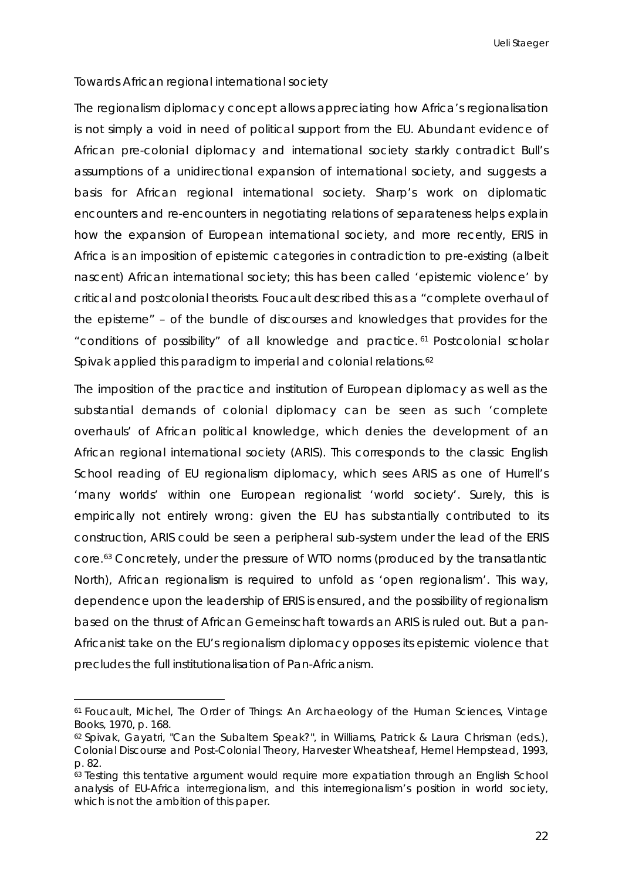# *Towards African regional international society*

The regionalism diplomacy concept allows appreciating how Africa's regionalisation is not simply a void in need of political support from the EU. Abundant evidence of African pre-colonial diplomacy and international society starkly contradict Bull's assumptions of a unidirectional expansion of international society, and suggests a basis for African regional international society. Sharp's work on diplomatic encounters and re-encounters in negotiating relations of separateness helps explain how the expansion of European international society, and more recently, ERIS in Africa is an imposition of epistemic categories in contradiction to pre-existing (albeit nascent) African international society; this has been called 'epistemic violence' by critical and postcolonial theorists. Foucault described this as a "complete overhaul of the episteme" – of the bundle of discourses and knowledges that provides for the "conditions of possibility" of all knowledge and practice. [61](#page-22-0) Postcolonial scholar Spivak applied this paradigm to imperial and colonial relations.<sup>[62](#page-22-1)</sup>

The imposition of the practice and institution of European diplomacy as well as the substantial demands of colonial diplomacy can be seen as such 'complete overhauls' of African political knowledge, which denies the development of an African regional international society (ARIS). This corresponds to the classic English School reading of EU regionalism diplomacy, which sees ARIS as one of Hurrell's 'many worlds' within one European regionalist 'world society'. Surely, this is empirically not entirely wrong: given the EU has substantially contributed to its construction, ARIS could be seen a peripheral sub-system under the lead of the ERIS core.[63](#page-22-2) Concretely, under the pressure of WTO norms (produced by the transatlantic North), African regionalism is required to unfold as 'open regionalism'. This way, dependence upon the leadership of ERIS is ensured, and the possibility of regionalism based on the thrust of African *Gemeinschaft* towards an ARIS is ruled out. But a pan-Africanist take on the EU's regionalism diplomacy opposes its epistemic violence that precludes the full institutionalisation of Pan-Africanism.

<span id="page-22-0"></span><sup>61</sup> Foucault, Michel, *The Order of Things: An Archaeology of the Human Sciences*, Vintage Books, 1970, p. 168. -

<span id="page-22-1"></span><sup>62</sup> Spivak, Gayatri, "Can the Subaltern Speak?", in Williams, Patrick & Laura Chrisman (eds.), *Colonial Discourse and Post-Colonial Theory*, Harvester Wheatsheaf, Hemel Hempstead, 1993, p. 82.

<span id="page-22-2"></span><sup>63</sup> Testing this *tentative* argument would require more expatiation through an English School analysis of EU-Africa interregionalism, and this interregionalism's position in world society, which is not the ambition of this paper.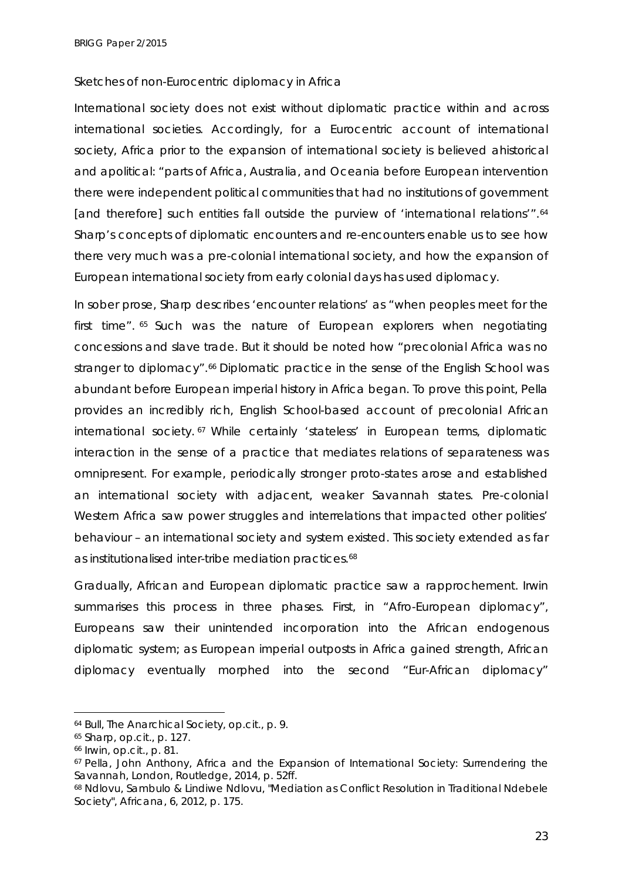#### *Sketches of non-Eurocentric diplomacy in Africa*

International society does not exist without diplomatic practice within and across international societies. Accordingly, for a Eurocentric account of international society, Africa prior to the expansion of international society is believed ahistorical and apolitical: "parts of Africa, Australia, and Oceania before European intervention there were independent political communities that had no institutions of government [and therefore] such entities fall outside the purview of 'international relations'".<sup>[64](#page-23-0)</sup> Sharp's concepts of diplomatic encounters and re-encounters enable us to see how there very much was a pre-colonial international society, and how the expansion of European international society from early colonial days has used diplomacy.

In sober prose, Sharp describes 'encounter relations' as "when peoples meet for the first time". [65](#page-23-1) Such was the nature of European explorers when negotiating concessions and slave trade. But it should be noted how "precolonial Africa was no stranger to diplomacy".<sup>[66](#page-23-2)</sup> Diplomatic practice in the sense of the English School was abundant before European imperial history in Africa began. To prove this point, Pella provides an incredibly rich, English School-based account of precolonial African international society. [67](#page-23-3) While certainly 'stateless' in European terms, diplomatic interaction in the sense of a practice that mediates relations of separateness was omnipresent. For example, periodically stronger proto-states arose and established an international society with adjacent, weaker Savannah states. Pre-colonial Western Africa saw power struggles and interrelations that impacted other polities' behaviour – an international society and system existed. This society extended as far as institutionalised inter-tribe mediation practices.<sup>[68](#page-23-4)</sup>

Gradually, African and European diplomatic practice saw a rapprochement. Irwin summarises this process in three phases. First, in "Afro-European diplomacy", Europeans saw their unintended incorporation into the African endogenous diplomatic system; as European imperial outposts in Africa gained strength, African diplomacy eventually morphed into the second "Eur-African diplomacy"

 $\ddot{\phantom{a}}$ 

<span id="page-23-0"></span><sup>64</sup> Bull, *The Anarchical Society*, *op.cit.*, p. 9.

<span id="page-23-1"></span><sup>65</sup> Sharp, *op.cit.*, p. 127.

<span id="page-23-2"></span><sup>66</sup> Irwin, *op.cit.*, p. 81.

<span id="page-23-3"></span><sup>67</sup> Pella, John Anthony, *Africa and the Expansion of International Society: Surrendering the Savannah*, London, Routledge, 2014, p. 52ff.

<span id="page-23-4"></span><sup>68</sup> Ndlovu, Sambulo & Lindiwe Ndlovu, "Mediation as Conflict Resolution in Traditional Ndebele Society", *Africana*, 6, 2012, p. 175.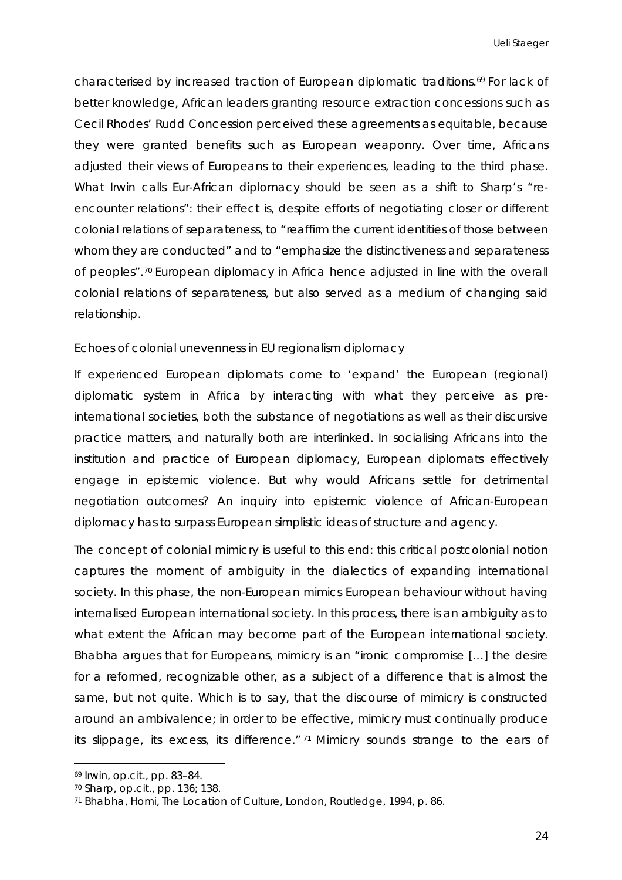characterised by increased traction of European diplomatic traditions.[69](#page-24-0) For lack of better knowledge, African leaders granting resource extraction concessions such as Cecil Rhodes' Rudd Concession perceived these agreements as equitable, because they were granted benefits such as European weaponry. Over time, Africans adjusted their views of Europeans to their experiences, leading to the third phase. What Irwin calls Eur-African diplomacy should be seen as a shift to Sharp's "reencounter relations": their effect is, despite efforts of negotiating closer or different colonial relations of separateness, to "reaffirm the current identities of those between whom they are conducted" and to "emphasize the distinctiveness and separateness of peoples".[70](#page-24-1) European diplomacy in Africa hence adjusted in line with the overall colonial relations of separateness, but also served as a medium of changing said relationship.

#### *Echoes of colonial unevenness in EU regionalism diplomacy*

If experienced European diplomats come to 'expand' the European (regional) diplomatic system in Africa by interacting with what they perceive as preinternational societies, both the substance of negotiations as well as their discursive practice matters, and naturally both are interlinked. In socialising Africans into the institution and practice of European diplomacy, European diplomats effectively engage in epistemic violence. But why would Africans settle for detrimental negotiation outcomes? An inquiry into epistemic violence of African-European diplomacy has to surpass European simplistic ideas of structure and agency.

The concept of colonial mimicry is useful to this end: this critical postcolonial notion captures the moment of ambiguity in the dialectics of expanding international society. In this phase, the non-European mimics European behaviour without having internalised European international society. In this process, there is an ambiguity as to what extent the African may become part of the European international society. Bhabha argues that for Europeans, mimicry is an "ironic compromise […] the desire for a reformed, recognizable other, as a subject of a difference that is almost the same, but not quite. Which is to say, that the discourse of mimicry is constructed around an ambivalence; in order to be effective, mimicry must continually produce its slippage, its excess, its difference." [71](#page-24-2) Mimicry sounds strange to the ears of

<span id="page-24-0"></span><sup>69</sup> Irwin, *op.cit.*, pp. 83–84.

<span id="page-24-1"></span><sup>70</sup> Sharp, *op.cit.*, pp. 136; 138.

<span id="page-24-2"></span><sup>71</sup> Bhabha, Homi, *The Location of Culture*, London, Routledge, 1994, p. 86.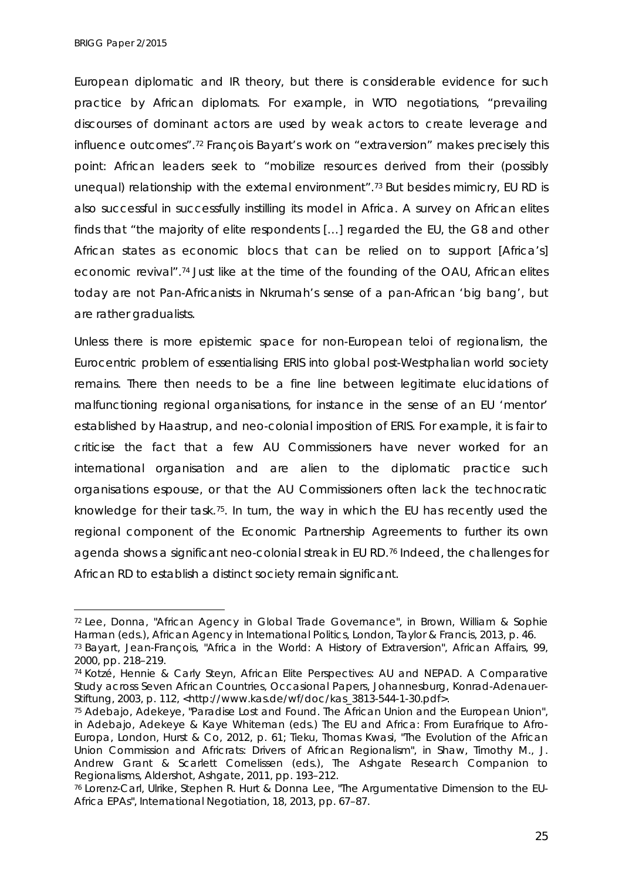*BRIGG Paper 2/2015*

European diplomatic and IR theory, but there is considerable evidence for such practice by African diplomats. For example, in WTO negotiations, "prevailing discourses of dominant actors are used by weak actors to create leverage and influence outcomes".[72](#page-25-0) François Bayart's work on "extraversion" makes precisely this point: African leaders seek to "mobilize resources derived from their (possibly unequal) relationship with the external environment".<sup>[73](#page-25-1)</sup> But besides mimicry, EU RD is also successful in successfully instilling its model in Africa. A survey on African elites finds that "the majority of elite respondents […] regarded the EU, the G8 and other African states as economic blocs that can be relied on to support [Africa's] economic revival".[74](#page-25-2) Just like at the time of the founding of the OAU, African elites today are not Pan-Africanists in Nkrumah's sense of a pan-African 'big bang', but are rather gradualists.

Unless there is more epistemic space for non-European *teloi* of regionalism, the Eurocentric problem of essentialising ERIS into global post-Westphalian world society remains. There then needs to be a fine line between legitimate elucidations of malfunctioning regional organisations, for instance in the sense of an EU 'mentor' established by Haastrup, and neo-colonial imposition of ERIS. For example, it is fair to criticise the fact that a few AU Commissioners have never worked for an international organisation and are alien to the diplomatic practice such organisations espouse, or that the AU Commissioners often lack the technocratic knowledge for their task.[75.](#page-25-3) In turn, the way in which the EU has recently used the regional component of the Economic Partnership Agreements to further its own agenda shows a significant neo-colonial streak in EU RD.[76](#page-25-4) Indeed, the challenges for African RD to establish a distinct society remain significant.

<span id="page-25-0"></span><sup>72</sup> Lee, Donna, "African Agency in Global Trade Governance", in Brown, William & Sophie Harman (eds.), *African Agency in International Politics*, London, Taylor & Francis, 2013, p. 46. <sup>73</sup> Bayart, Jean-François, "Africa in the World: A History of Extraversion", *African Affairs*, 99,

<span id="page-25-1"></span><sup>2000,</sup> pp. 218–219.

<span id="page-25-2"></span><sup>74</sup> Kotzé, Hennie & Carly Steyn, *African Elite Perspectives: AU and NEPAD. A Comparative Study across Seven African Countries*, Occasional Papers, Johannesburg, Konrad-Adenauer-Stiftung, 2003, p. 112, <http://www.kas.de/wf/doc/kas\_3813-544-1-30.pdf>.

<span id="page-25-3"></span><sup>75</sup> Adebajo, Adekeye, "Paradise Lost and Found. The African Union and the European Union", in Adebajo, Adekeye & Kaye Whiteman (eds.) *The EU and Africa: From Eurafrique to Afro-Europa*, London, Hurst & Co, 2012, p. 61; Tieku, Thomas Kwasi, "The Evolution of the African Union Commission and Africrats: Drivers of African Regionalism", in Shaw, Timothy M., J. Andrew Grant & Scarlett Cornelissen (eds.), *The Ashgate Research Companion to Regionalisms*, Aldershot, Ashgate, 2011, pp. 193–212.

<span id="page-25-4"></span><sup>76</sup> Lorenz-Carl, Ulrike, Stephen R. Hurt & Donna Lee, "The Argumentative Dimension to the EU-Africa EPAs", *International Negotiation*, 18, 2013, pp. 67–87.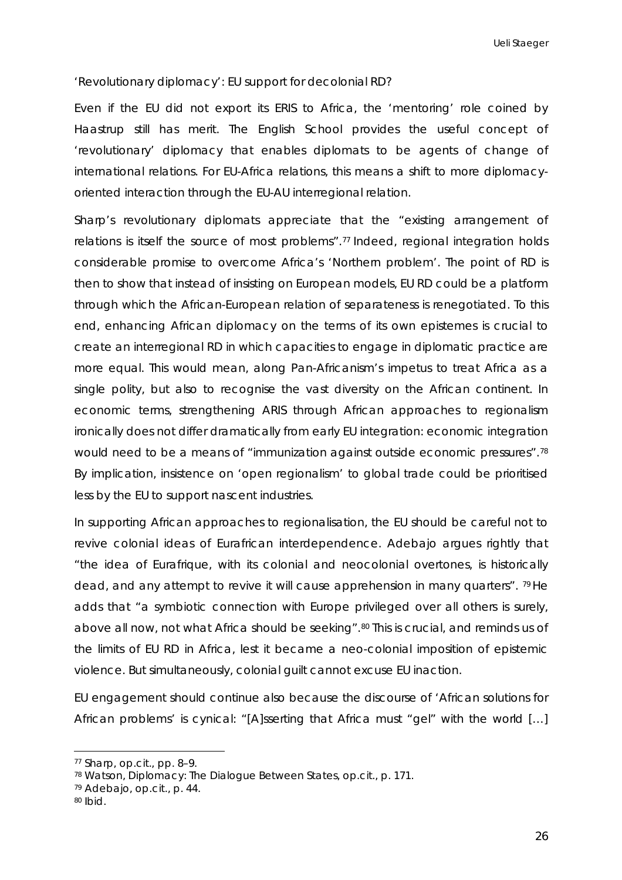### *'Revolutionary diplomacy': EU support for decolonial RD?*

Even if the EU did not export its ERIS to Africa, the 'mentoring' role coined by Haastrup still has merit. The English School provides the useful concept of 'revolutionary' diplomacy that enables diplomats to be agents of change of international relations. For EU-Africa relations, this means a shift to more diplomacyoriented interaction through the EU-AU interregional relation.

Sharp's revolutionary diplomats appreciate that the "existing arrangement of relations is itself the source of most problems".<sup>77</sup> Indeed, regional integration holds considerable promise to overcome Africa's 'Northern problem'. The point of RD is then to show that instead of insisting on European models, EU RD could be a platform through which the African-European relation of separateness is renegotiated. To this end, enhancing African diplomacy on the terms of its own epistemes is crucial to create an interregional RD in which capacities to engage in diplomatic practice are more equal. This would mean, along Pan-Africanism's impetus to treat Africa as a single polity, but also to recognise the vast diversity on the African continent. In economic terms, strengthening ARIS through African approaches to regionalism ironically does not differ dramatically from early EU integration: economic integration would need to be a means of "immunization against outside economic pressures"[.78](#page-26-1) By implication, insistence on 'open regionalism' to global trade could be prioritised less by the EU to support nascent industries.

In supporting African approaches to regionalisation, the EU should be careful not to revive colonial ideas of Eurafrican interdependence. Adebajo argues rightly that "the idea of Eurafrique, with its colonial and neocolonial overtones, is historically dead, and any attempt to revive it will cause apprehension in many quarters". [79](#page-26-2) He adds that "a symbiotic connection with Europe privileged over all others is surely, above all now, not what Africa should be seeking".<sup>80</sup> This is crucial, and reminds us of the limits of EU RD in Africa, lest it became a neo-colonial imposition of epistemic violence. But simultaneously, colonial guilt cannot excuse EU inaction.

EU engagement should continue also because the discourse of 'African solutions for African problems' is cynical: "[A]sserting that Africa must "gel" with the world […]

 $\ddot{\phantom{a}}$ 

<span id="page-26-0"></span><sup>77</sup> Sharp, *op.cit.,* pp. 8–9.

<span id="page-26-1"></span><sup>78</sup> Watson, *Diplomacy: The Dialogue Between States*, *op.cit.*, p. 171.

<span id="page-26-2"></span><sup>79</sup> Adebajo, *op.cit.*, p. 44.

<span id="page-26-3"></span><sup>80</sup> *Ibid.*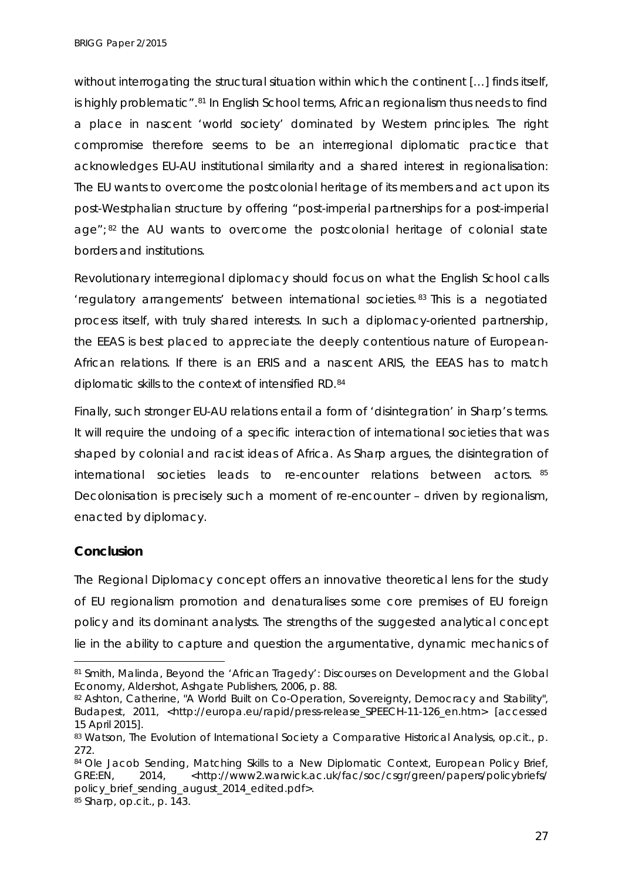*BRIGG Paper 2/2015*

without interrogating the structural situation within which the continent [...] finds itself, is highly problematic".[81](#page-27-0) In English School terms, African regionalism thus needs to find a place in nascent 'world society' dominated by Western principles. The right compromise therefore seems to be an interregional diplomatic practice that acknowledges EU-AU institutional similarity and a shared interest in regionalisation*:*  The EU wants to overcome the postcolonial heritage of its members and act upon its post-Westphalian structure by offering "post-imperial partnerships for a post-imperial age";<sup>[82](#page-27-1)</sup> the AU wants to overcome the postcolonial heritage of colonial state borders and institutions.

Revolutionary interregional diplomacy should focus on what the English School calls 'regulatory arrangements' between international societies. [83](#page-27-2) This is a negotiated process itself, with truly shared interests. In such a diplomacy-oriented partnership, the EEAS is best placed to appreciate the deeply contentious nature of European-African relations. If there is an ERIS and a nascent ARIS, the EEAS has to match diplomatic skills to the context of intensified RD.[84](#page-27-3)

Finally, such stronger EU-AU relations entail a form of 'disintegration' in Sharp's terms. It will require the undoing of a specific interaction of international societies that was shaped by colonial and racist ideas of Africa. As Sharp argues, the disintegration of international societies leads to re-encounter relations between actors. [85](#page-27-4) Decolonisation is precisely such a moment of re-encounter – driven by regionalism, enacted by diplomacy.

# **Conclusion**

 $\ddot{\phantom{a}}$ 

The Regional Diplomacy concept offers an innovative theoretical lens for the study of EU regionalism promotion and denaturalises some core premises of EU foreign policy and its dominant analysts. The strengths of the suggested analytical concept lie in the ability to capture and question the argumentative, dynamic mechanics of

<span id="page-27-0"></span><sup>81</sup> Smith, Malinda, *Beyond the 'African Tragedy': Discourses on Development and the Global Economy*, Aldershot, Ashgate Publishers, 2006, p. 88.

<span id="page-27-1"></span><sup>82</sup> Ashton, Catherine, "A World Built on Co-Operation, Sovereignty, Democracy and Stability", Budapest, 2011, <http://europa.eu/rapid/press-release\_SPEECH-11-126\_en.htm> [accessed 15 April 2015].

<span id="page-27-2"></span><sup>83</sup> Watson, *The Evolution of International Society a Comparative Historical Analysis*, *op.cit.*, p. 272.

<span id="page-27-4"></span><span id="page-27-3"></span><sup>84</sup> Ole Jacob Sending, *Matching Skills to a New Diplomatic Context*, European Policy Brief, GRE:EN, 2014, <http://www2.warwick.ac.uk/fac/soc/csgr/green/papers/policybriefs/ policy brief sending august 2014 edited.pdf>. <sup>85</sup> Sharp, *op.cit.*, p. 143.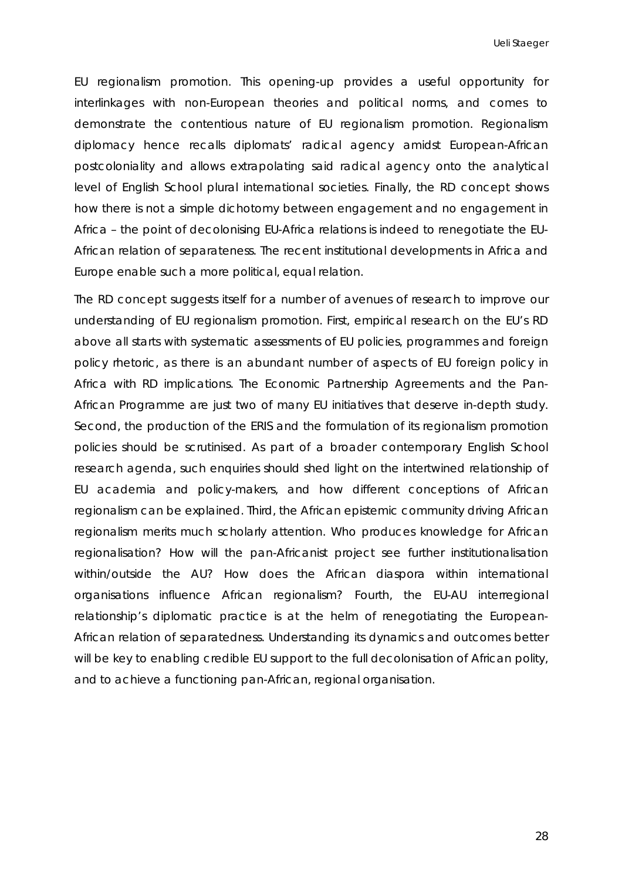EU regionalism promotion. This opening-up provides a useful opportunity for interlinkages with non-European theories and political norms, and comes to demonstrate the contentious nature of EU regionalism promotion. Regionalism diplomacy hence recalls diplomats' radical agency amidst European-African postcoloniality and allows extrapolating said radical agency onto the analytical level of English School plural international societies. Finally, the RD concept shows how there is not a simple dichotomy between engagement and no engagement in Africa – the point of decolonising EU-Africa relations is indeed to renegotiate the EU-African relation of separateness. The recent institutional developments in Africa and Europe enable such a more political, equal relation.

The RD concept suggests itself for a number of avenues of research to improve our understanding of EU regionalism promotion. First, empirical research on the EU's RD above all starts with systematic assessments of EU policies, programmes and foreign policy rhetoric, as there is an abundant number of aspects of EU foreign policy in Africa with RD implications. The Economic Partnership Agreements and the Pan-African Programme are just two of many EU initiatives that deserve in-depth study. Second, the production of the ERIS and the formulation of its regionalism promotion policies should be scrutinised. As part of a broader contemporary English School research agenda, such enquiries should shed light on the intertwined relationship of EU academia and policy-makers, and how different conceptions of African regionalism can be explained. Third, the African epistemic community driving African regionalism merits much scholarly attention. Who produces knowledge for African regionalisation? How will the pan-Africanist project see further institutionalisation within/outside the AU? How does the African diaspora within international organisations influence African regionalism? Fourth, the EU-AU interregional relationship's diplomatic practice is at the helm of renegotiating the European-African relation of separatedness. Understanding its dynamics and outcomes better will be key to enabling credible EU support to the full decolonisation of African polity, and to achieve a functioning pan-African, regional organisation.

28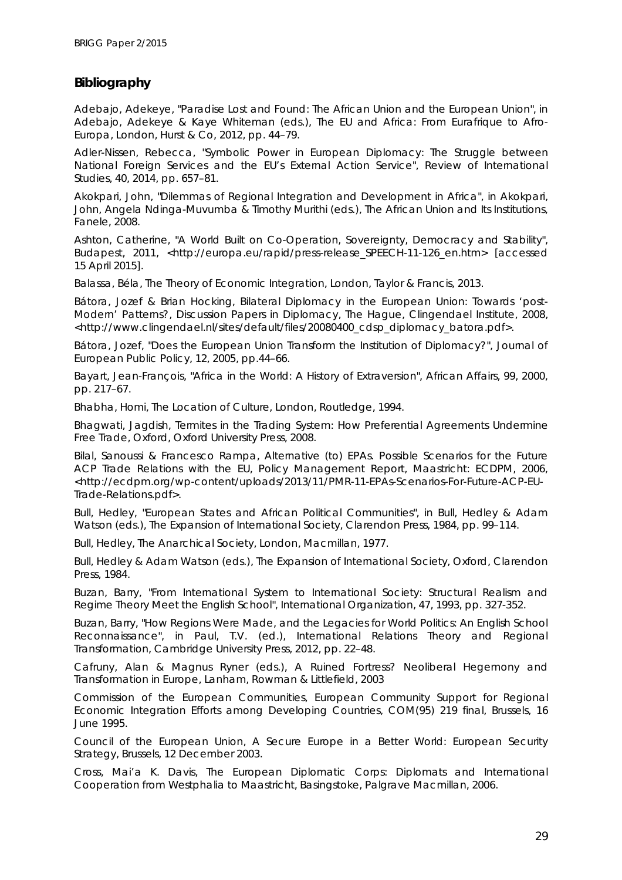# **Bibliography**

Adebajo, Adekeye, "Paradise Lost and Found: The African Union and the European Union", in Adebajo, Adekeye & Kaye Whiteman (eds.), *The EU and Africa: From Eurafrique to Afro-Europa*, London, Hurst & Co, 2012, pp. 44–79.

Adler-Nissen, Rebecca, "Symbolic Power in European Diplomacy: The Struggle between National Foreign Services and the EU's External Action Service", *Review of International Studies*, 40, 2014, pp. 657–81.

Akokpari, John, "Dilemmas of Regional Integration and Development in Africa", in Akokpari, John, Angela Ndinga-Muvumba & Timothy Murithi (eds.), *The African Union and Its Institutions*, Fanele, 2008.

Ashton, Catherine, "A World Built on Co-Operation, Sovereignty, Democracy and Stability", Budapest, 2011, <http://europa.eu/rapid/press-release\_SPEECH-11-126\_en.htm> [accessed 15 April 2015].

Balassa, Béla, *The Theory of Economic Integration*, London, Taylor & Francis, 2013.

Bátora, Jozef & Brian Hocking, *Bilateral Diplomacy in the European Union: Towards 'post-Modern' Patterns?*, Discussion Papers in Diplomacy, The Hague, Clingendael Institute, 2008, <http://www.clingendael.nl/sites/default/files/20080400\_cdsp\_diplomacy\_batora.pdf>.

Bátora, Jozef, "Does the European Union Transform the Institution of Diplomacy?", *Journal of European Public Policy*, 12, 2005, pp.44–66.

Bayart, Jean-François, "Africa in the World: A History of Extraversion", *African Affairs*, 99, 2000, pp. 217–67.

Bhabha, Homi, *The Location of Culture*, London, Routledge, 1994.

Bhagwati, Jagdish, *Termites in the Trading System: How Preferential Agreements Undermine Free Trade*, Oxford, Oxford University Press, 2008.

Bilal, Sanoussi & Francesco Rampa, *Alternative (to) EPAs. Possible Scenarios for the Future ACP Trade Relations with the EU*, Policy Management Report, Maastricht: ECDPM, 2006, <http://ecdpm.org/wp-content/uploads/2013/11/PMR-11-EPAs-Scenarios-For-Future-ACP-EU-Trade-Relations.pdf>.

Bull, Hedley, "European States and African Political Communities", in Bull, Hedley & Adam Watson (eds.), *The Expansion of International Society*, Clarendon Press, 1984, pp. 99–114.

Bull, Hedley, *The Anarchical Society*, London, Macmillan, 1977.

Bull, Hedley & Adam Watson (eds.), *The Expansion of International Society*, Oxford, Clarendon Press, 1984.

Buzan, Barry, "From International System to International Society: Structural Realism and Regime Theory Meet the English School", International Organization, 47, 1993, pp. 327-352.

Buzan, Barry, "How Regions Were Made, and the Legacies for World Politics: An English School Reconnaissance", in Paul, T.V. (ed.), *International Relations Theory and Regional Transformation*, Cambridge University Press, 2012, pp. 22–48.

Cafruny, Alan & Magnus Ryner (eds.), *A Ruined Fortress? Neoliberal Hegemony and Transformation in Europe*, Lanham, Rowman & Littlefield, 2003

Commission of the European Communities, *European Community Support for Regional Economic Integration Efforts among Developing Countries*, COM(95) 219 final, Brussels, 16 June 1995.

Council of the European Union, *A Secure Europe in a Better World: European Security Strategy*, Brussels, 12 December 2003.

Cross, Mai'a K. Davis, *The European Diplomatic Corps: Diplomats and International Cooperation from Westphalia to Maastricht*, Basingstoke, Palgrave Macmillan, 2006.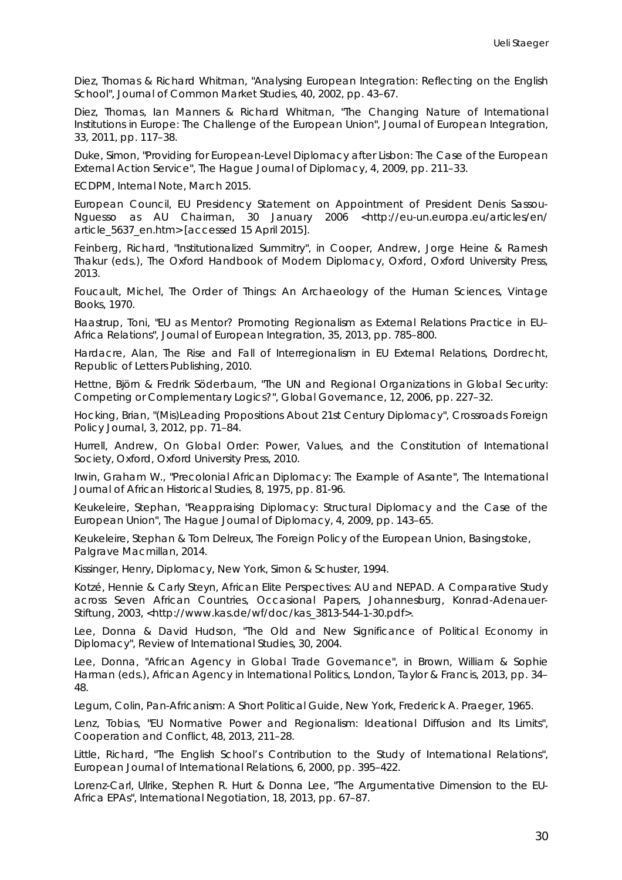Diez, Thomas & Richard Whitman, "Analysing European Integration: Reflecting on the English School", *Journal of Common Market Studies*, 40, 2002, pp. 43–67.

Diez, Thomas, Ian Manners & Richard Whitman, "The Changing Nature of International Institutions in Europe: The Challenge of the European Union", *Journal of European Integration*, 33, 2011, pp. 117–38.

Duke, Simon, "Providing for European-Level Diplomacy after Lisbon: The Case of the European External Action Service", *The Hague Journal of Diplomacy*, 4, 2009, pp. 211–33.

ECDPM, *Internal Note*, March 2015.

European Council, *EU Presidency Statement on Appointment of President Denis Sassou-Nguesso as AU Chairman*, 30 January 2006 <http://eu-un.europa.eu/articles/en/ article\_5637\_en.htm> [accessed 15 April 2015].

Feinberg, Richard, "Institutionalized Summitry", in Cooper, Andrew, Jorge Heine & Ramesh Thakur (eds.), *The Oxford Handbook of Modern Diplomacy*, Oxford, Oxford University Press, 2013.

Foucault, Michel, *The Order of Things: An Archaeology of the Human Sciences*, Vintage Books, 1970.

Haastrup, Toni, "EU as Mentor? Promoting Regionalism as External Relations Practice in EU– Africa Relations", *Journal of European Integration*, 35, 2013, pp. 785–800.

Hardacre, Alan, *[The Rise and Fall of Interregionalism in EU External Relations](http://www.linkedin.com/redir/redirect?url=https%3A%2F%2Fwww%2Erolpub%2Ecom%2Fproduct_info%2Ephp%3Fmanufacturers_id%3D22%26products_id%3D74&urlhash=Y7L6&trk=prof-publication-title-link)*, Dordrecht, Republic of Letters Publishing, 2010.

Hettne, Björn & Fredrik Söderbaum, "The UN and Regional Organizations in Global Security: Competing or Complementary Logics?", *Global Governance*, 12, 2006, pp. 227–32.

Hocking, Brian, "(Mis)Leading Propositions About 21st Century Diplomacy", *Crossroads Foreign Policy Journal*, 3, 2012, pp. 71–84.

Hurrell, Andrew, *On Global Order: Power, Values, and the Constitution of International Society*, Oxford, Oxford University Press, 2010.

Irwin, Graham W., "Precolonial African Diplomacy: The Example of Asante", *The International Journal of African Historical Studies*, 8, 1975, pp. 81-96.

Keukeleire, Stephan, "Reappraising Diplomacy: Structural Diplomacy and the Case of the European Union", *The Hague Journal of Diplomacy*, 4, 2009, pp. 143–65.

Keukeleire, Stephan & Tom Delreux, *The Foreign Policy of the European Union*, Basingstoke, Palgrave Macmillan, 2014.

Kissinger, Henry, *Diplomacy*, New York, Simon & Schuster, 1994.

Kotzé, Hennie & Carly Steyn, *African Elite Perspectives: AU and NEPAD. A Comparative Study across Seven African Countries*, Occasional Papers, Johannesburg, Konrad-Adenauer-Stiftung, 2003, <http://www.kas.de/wf/doc/kas\_3813-544-1-30.pdf>.

Lee, Donna & David Hudson, "The Old and New Significance of Political Economy in Diplomacy", *Review of International Studies*, 30, 2004.

Lee, Donna, "African Agency in Global Trade Governance", in Brown, William & Sophie Harman (eds.), *African Agency in International Politics*, London, Taylor & Francis, 2013, pp. 34– 48.

Legum, Colin, *Pan-Africanism: A Short Political Guide*, New York, Frederick A. Praeger, 1965.

Lenz, Tobias, "EU Normative Power and Regionalism: Ideational Diffusion and Its Limits", *Cooperation and Conflict*, 48, 2013, 211–28.

Little, Richard, "The English School's Contribution to the Study of International Relations", *European Journal of International Relations*, 6, 2000, pp. 395–422.

Lorenz-Carl, Ulrike, Stephen R. Hurt & Donna Lee, "The Argumentative Dimension to the EU-Africa EPAs", *International Negotiation*, 18, 2013, pp. 67–87.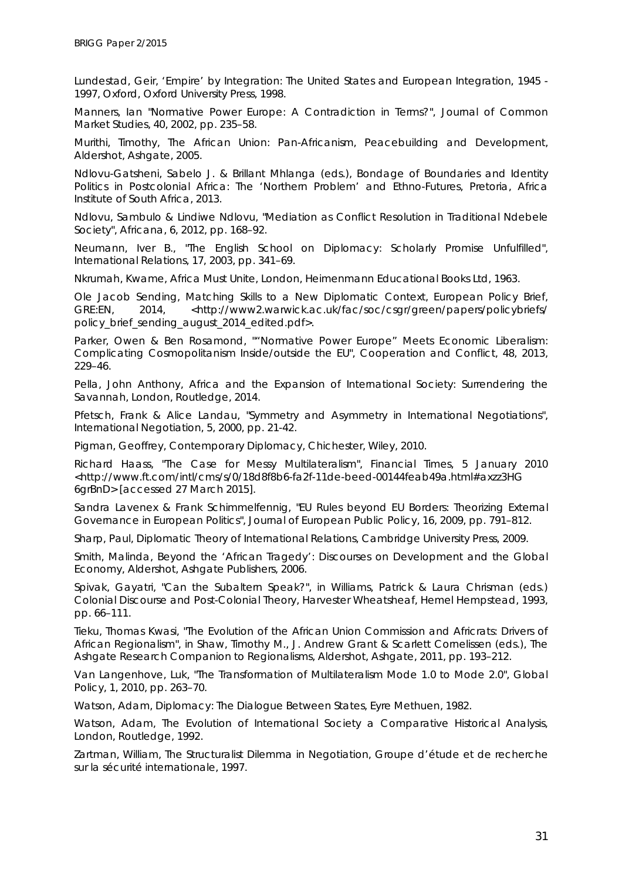Lundestad, Geir, 'Empire' by Integration: The United States and European Integration, 1945 -*1997*, Oxford, Oxford University Press, 1998.

Manners, Ian "Normative Power Europe: A Contradiction in Terms?", *Journal of Common Market Studies*, 40, 2002, pp. 235–58.

Murithi, Timothy, *The African Union: Pan-Africanism, Peacebuilding and Development*, Aldershot, Ashgate, 2005.

Ndlovu-Gatsheni, Sabelo J. & Brillant Mhlanga (eds.), *Bondage of Boundaries and Identity Politics in Postcolonial Africa: The 'Northern Problem' and Ethno-Futures*, Pretoria, Africa Institute of South Africa, 2013.

Ndlovu, Sambulo & Lindiwe Ndlovu, "Mediation as Conflict Resolution in Traditional Ndebele Society", *Africana*, 6, 2012, pp. 168–92.

Neumann, Iver B., "The English School on Diplomacy: Scholarly Promise Unfulfilled", *International Relations*, 17, 2003, pp. 341–69.

Nkrumah, Kwame, *Africa Must Unite*, London, Heimenmann Educational Books Ltd, 1963.

Ole Jacob Sending, *Matching Skills to a New Diplomatic Context*, European Policy Brief, GRE:EN, 2014, <http://www2.warwick.ac.uk/fac/soc/csgr/green/papers/policybriefs/ policy\_brief\_sending\_august\_2014\_edited.pdf>.

Parker, Owen & Ben Rosamond, ""Normative Power Europe" Meets Economic Liberalism: Complicating Cosmopolitanism Inside/outside the EU", *Cooperation and Conflict*, 48, 2013, 229–46.

Pella, John Anthony, *Africa and the Expansion of International Society: Surrendering the Savannah*, London, Routledge, 2014.

Pfetsch, Frank & Alice Landau, "Symmetry and Asymmetry in International Negotiations", *International Negotiation*, 5, 2000, pp. 21-42.

Pigman, Geoffrey, *Contemporary Diplomacy*, Chichester, Wiley, 2010.

Richard Haass, "The Case for Messy Multilateralism", *Financial Times*, 5 January 2010 <http://www.ft.com/intl/cms/s/0/18d8f8b6-fa2f-11de-beed-00144feab49a.html#axzz3HG 6grBnD> [accessed 27 March 2015].

Sandra Lavenex & Frank Schimmelfennig, "EU Rules beyond EU Borders: Theorizing External Governance in European Politics", *Journal of European Public Policy*, 16, 2009, pp. 791–812.

Sharp, Paul, *Diplomatic Theory of International Relations*, Cambridge University Press, 2009.

Smith, Malinda, *Beyond the 'African Tragedy': Discourses on Development and the Global Economy*, Aldershot, Ashgate Publishers, 2006.

Spivak, Gayatri, "Can the Subaltern Speak?", in Williams, Patrick & Laura Chrisman (eds.) *Colonial Discourse and Post-Colonial Theory*, Harvester Wheatsheaf, Hemel Hempstead, 1993, pp. 66–111.

Tieku, Thomas Kwasi, "The Evolution of the African Union Commission and Africrats: Drivers of African Regionalism", in Shaw, Timothy M., J. Andrew Grant & Scarlett Cornelissen (eds.), *The Ashgate Research Companion to Regionalisms*, Aldershot, Ashgate, 2011, pp. 193–212.

Van Langenhove, Luk, "The Transformation of Multilateralism Mode 1.0 to Mode 2.0", *Global Policy*, 1, 2010, pp. 263–70.

Watson, Adam, *Diplomacy: The Dialogue Between States*, Eyre Methuen, 1982.

Watson, Adam, *The Evolution of International Society a Comparative Historical Analysis*, London, Routledge, 1992.

Zartman, William, *The Structuralist Dilemma in Negotiation*, Groupe d'étude et de recherche sur la sécurité internationale, 1997.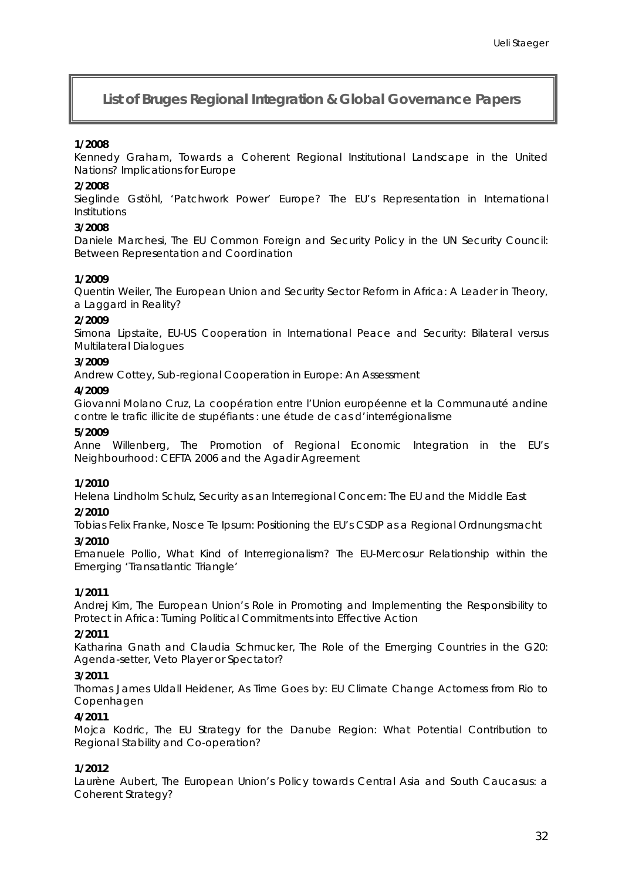# **List of** *Bruges Regional Integration & Global Governance* **Papers**

#### **1/2008**

Kennedy Graham, *Towards a Coherent Regional Institutional Landscape in the United Nations? Implications for Europe*

#### **2/2008**

Sieglinde Gstöhl, *'Patchwork Power' Europe? The EU's Representation in International Institutions*

#### **3/2008**

Daniele Marchesi, *The EU Common Foreign and Security Policy in the UN Security Council: Between Representation and Coordination*

#### **1/2009**

Quentin Weiler, *The European Union and Security Sector Reform in Africa: A Leader in Theory, a Laggard in Reality?*

#### **2/2009**

Simona Lipstaite, *EU-US Cooperation in International Peace and Security: Bilateral versus Multilateral Dialogues*

#### **3/2009**

Andrew Cottey, *Sub-regional Cooperation in Europe: An Assessment*

#### **4/2009**

Giovanni Molano Cruz, *La coopération entre l'Union européenne et la Communauté andine contre le trafic illicite de stupéfiants : une étude de cas d'interrégionalisme*

#### **5/2009**

Anne Willenberg, *The Promotion of Regional Economic Integration in the EU's Neighbourhood: CEFTA 2006 and the Agadir Agreement* 

#### **1/2010**

Helena Lindholm Schulz, *Security as an Interregional Concern: The EU and the Middle East*

#### **2/2010**

Tobias Felix Franke, *Nosce Te Ipsum: Positioning the EU's CSDP as a Regional* Ordnungsmacht

#### **3/2010**

Emanuele Pollio, *What Kind of Interregionalism? The EU-Mercosur Relationship within the Emerging 'Transatlantic Triangle'*

# **1/2011**

Andrej Kirn, *The European Union's Role in Promoting and Implementing the Responsibility to Protect in Africa: Turning Political Commitments into Effective Action*

#### **2/2011**

Katharina Gnath and Claudia Schmucker, *The Role of the Emerging Countries in the G20: Agenda-setter, Veto Player or Spectator?*

#### **3/2011**

Thomas James Uldall Heidener, *As Time Goes by: EU Climate Change Actorness from Rio to Copenhagen*

#### **4/2011**

Mojca Kodric, *The EU Strategy for the Danube Region: What Potential Contribution to Regional Stability and Co-operation?*

# **1/2012**

Laurène Aubert, *The European Union's Policy towards Central Asia and South Caucasus: a Coherent Strategy?*